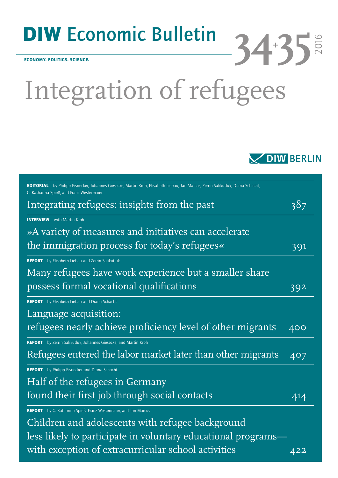## DIW Economic Bulletin

ECONOMY. POLITICS. SCIENCE.

# Integration of refugees



**34+ 35**

2016

| <b>EDITORIAL</b> by Philipp Eisnecker, Johannes Giesecke, Martin Kroh, Elisabeth Liebau, Jan Marcus, Zerrin Salikutluk, Diana Schacht,<br>C. Katharina Spieß, and Franz Westermaier |     |
|-------------------------------------------------------------------------------------------------------------------------------------------------------------------------------------|-----|
| Integrating refugees: insights from the past                                                                                                                                        | 387 |
| <b>INTERVIEW</b> with Martin Kroh                                                                                                                                                   |     |
| »A variety of measures and initiatives can accelerate                                                                                                                               |     |
| the immigration process for today's refugees«                                                                                                                                       | 391 |
| <b>REPORT</b> by Elisabeth Liebau and Zerrin Salikutluk                                                                                                                             |     |
| Many refugees have work experience but a smaller share                                                                                                                              |     |
| possess formal vocational qualifications                                                                                                                                            | 392 |
| <b>REPORT</b> by Elisabeth Liebau and Diana Schacht                                                                                                                                 |     |
| Language acquisition:                                                                                                                                                               |     |
| refugees nearly achieve proficiency level of other migrants                                                                                                                         | 400 |
| REPORT by Zerrin Salikutluk, Johannes Giesecke, and Martin Kroh                                                                                                                     |     |
| Refugees entered the labor market later than other migrants                                                                                                                         | 407 |
| <b>REPORT</b> by Philipp Eisnecker and Diana Schacht                                                                                                                                |     |
| Half of the refugees in Germany                                                                                                                                                     |     |
| found their first job through social contacts                                                                                                                                       | 414 |
| REPORT by C. Katharina Spieß, Franz Westermaier, and Jan Marcus                                                                                                                     |     |
| Children and adolescents with refugee background                                                                                                                                    |     |
| less likely to participate in voluntary educational programs-                                                                                                                       |     |
| with exception of extracurricular school activities                                                                                                                                 | 422 |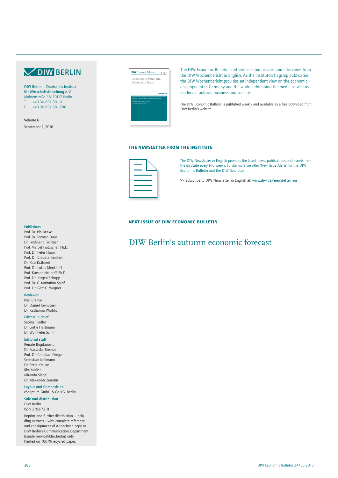## **V DIW BERLIN**

DIW Berlin — Deutsches Institut für Wirtschaftsforschung e. V. Mohrenstraße 58, 10117 Berlin  $+49$  30 897 89 -0 F +49 30 897 89 –200

Volume 6 September 1, 2016



The DIW Economic Bulletin contains selected articles and interviews from the DIW Wochenbericht in English. As the institute's flagship publication, the DIW Wochenbericht provides an independent view on the economic development in Germany and the world, addressing the media as well as leaders in politics, business and society.

The DIW Economic Bulletin is published weekly and available as a free download from DIW Berlin's website.

### THE NEWSLETTER FROM THE INSTITUTE



The DIW Newsletter in English provides the latest news, publications and events from the institute every two weeks. Furthermore we offer 'New Issue Alerts' for the DIW Economic Bulletin and the DIW Roundup.

>> Subscribe to DIW Newsletter in English at: www.diw.de/newsletter\_en

#### NEXT ISSUE OF DIW ECONOMIC BULLETIN

## DIW Berlin's autumn economic forecast

Prof. Dr. Pio Baake Prof. Dr. Tomaso Duso Dr. Ferdinand Fichtner Prof. Marcel Fratzscher, Ph.D. Prof. Dr. Peter Haan Prof. Dr. Claudia Kemfert Dr. Kati Krähnert Prof. Dr. Lukas Menkhoff Prof. Karsten Neuhoff, Ph.D. Prof. Dr. Jürgen Schupp Prof. Dr. C. Katharina Spieß Prof. Dr. Gert G. Wagner

#### Reviewer

Karl Brenke Dr. Daniel Kemptner Dr. Katharina Wrohlich

#### Editors in chief

Sabine Fiedler Dr. Gritje Hartmann Dr. Wolf-Peter Schill

#### Editorial staff

Renate Bogdanovic Dr. Franziska Bremus Prof. Dr. Christian Dreger Sebastian Kollmann Dr. Peter Krause Ilka Müller Miranda Siegel Dr. Alexander Zerrahn

Layout and Composition eScriptum GmbH & Co KG, Berlin

Sale and distribution DIW Berlin ISSN 2192-7219

Reprint and further distribution—including extracts—with complete reference and consignment of a specimen copy to DIW Berlin's Communication Department (kundenservice@diw.berlin) only. Printed on 100 % recycled paper.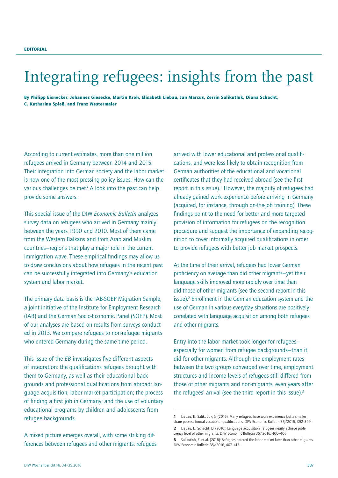## Integrating refugees: insights from the past

By Philipp Eisnecker, Johannes Giesecke, Martin Kroh, Elisabeth Liebau, Jan Marcus, Zerrin Salikutluk, Diana Schacht, C. Katharina Spieß, and Franz Westermaier

According to current estimates, more than one million refugees arrived in Germany between 2014 and 2015. Their integration into German society and the labor market is now one of the most pressing policy issues. How can the various challenges be met? A look into the past can help provide some answers.

This special issue of the DIW *Economic Bulletin* analyzes survey data on refugees who arrived in Germany mainly between the years 1990 and 2010. Most of them came from the Western Balkans and from Arab and Muslim countries—regions that play a major role in the current immigration wave. These empirical findings may allow us to draw conclusions about how refugees in the recent past can be successfully integrated into Germany's education system and labor market.

The primary data basis is the IAB-SOEP Migration Sample, a joint initiative of the Institute for Employment Research (IAB) and the German Socio-Economic Panel (SOEP). Most of our analyses are based on results from surveys conducted in 2013. We compare refugees to non-refugee migrants who entered Germany during the same time period.

This issue of the *EB* investigates five different aspects of integration: the qualifications refugees brought with them to Germany, as well as their educational backgrounds and professional qualifications from abroad; language acquisition; labor market participation; the process of finding a first job in Germany; and the use of voluntary educational programs by children and adolescents from refugee backgrounds.

A mixed picture emerges overall, with some striking differences between refugees and other migrants: refugees arrived with lower educational and professional qualifications, and were less likely to obtain recognition from German authorities of the educational and vocational certificates that they had received abroad (see the first report in this issue).<sup>1</sup> However, the majority of refugees had already gained work experience before arriving in Germany (acquired, for instance, through on-the-job training). These findings point to the need for better and more targeted provision of information for refugees on the recognition procedure and suggest the importance of expanding recognition to cover informally acquired qualifications in order to provide refugees with better job market prospects.

At the time of their arrival, refugees had lower German proficiency on average than did other migrants—yet their language skills improved more rapidly over time than did those of other migrants (see the second report in this issue).<sup>2</sup> Enrollment in the German education system and the use of German in various everyday situations are positively correlated with language acquisition among both refugees and other migrants.

Entry into the labor market took longer for refugees especially for women from refugee backgrounds—than it did for other migrants. Although the employment rates between the two groups converged over time, employment structures and income levels of refugees still differed from those of other migrants and non-migrants, even years after the refugees' arrival (see the third report in this issue).<sup>3</sup>

<sup>1</sup> Liebau, E., Salikutluk, S. (2016): Many refugees have work experience but a smaller share possess formal vocational qualifications. DIW Economic Bulletin 35/2016, 392–399.

<sup>2</sup> Liebau, E., Schacht, D. (2016): Language acquisition: refugees nearly achieve proficiency level of other migrants. DIW Economic Bulletin 35/2016, 400–406.

<sup>3</sup> Salikutluk, Z. et al. (2016): Refugees entered the labor market later than other migrants. DIW Economic Bulletin 35/2016, 407–413.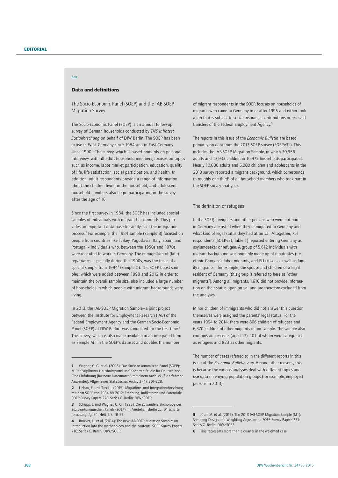Box

## Data and definitions

The Socio-Economic Panel (SOEP) and the IAB-SOEP Migration Survey

The Socio-Economic Panel (SOEP) is an annual follow-up survey of German households conducted by *TNS Infratest Sozialforschung* on behalf of DIW Berlin. The SOEP has been active in West Germany since 1984 and in East Germany since 1990.<sup>1</sup> The survey, which is based primarily on personal interviews with all adult household members, focuses on topics such as income, labor market participation, education, quality of life, life satisfaction, social participation, and health. In addition, adult respondents provide a range of information about the children living in the household, and adolescent household members also begin participating in the survey after the age of 16.

Since the first survey in 1984, the SOEP has included special samples of individuals with migrant backgrounds. This provides an important data base for analysis of the integration process.<sup>2</sup> For example, the 1984 sample (Sample B) focused on people from countries like Turkey, Yugoslavia, Italy, Spain, and Portugal – individuals who, between the 1950s and 1970s, were recruited to work in Germany. The immigration of (late) repatriates, especially during the 1990s, was the focus of a special sample from 1994<sup>3</sup> (Sample D). The SOEP boost samples, which were added between 1998 and 2012 in order to maintain the overall sample size, also included a large number of households in which people with migrant backgrounds were living.

In 2013, the IAB-SOEP Migration Sample—a joint project between the Institute for Employment Research (IAB) of the Federal Employment Agency and the German Socio-Economic Panel (SOEP) at DIW Berlin—was conducted for the first time.4 This survey, which is also made available in an integrated form as Sample M1 in the SOEP's dataset and doubles the number

of migrant respondents in the SOEP, focuses on households of migrants who came to Germany in or after 1995 and either took a job that is subject to social insurance contributions or received transfers of the Federal Employment Agency.5

The reports in this issue of the *Economic Bulletin* are based primarily on data from the 2013 SOEP survey (SOEP.v31). This includes the IAB-SOEP Migration Sample, in which 30,956 adults and 13,933 children in 16,975 households participated. Nearly 10,000 adults and 5,000 children and adolescents in the 2013 survey reported a migrant background, which corresponds to roughly one third<sup>6</sup> of all household members who took part in the SOEP survey that year.

#### The definition of refugees

In the SOEP, foreigners and other persons who were not born in Germany are asked when they immigrated to Germany and what kind of legal status they had at arrival. Altogether, 751 respondents (SOEP.v31, Table 1) reported entering Germany as asylum-seeker or refugee. A group of 5,612 individuals with migrant background was primarily made up of repatriates (i. e., ethnic Germans), labor migrants, and EU citizens as well as family migrants – for example, the spouse and children of a legal resident of Germany (this group is referred to here as "other migrants"). Among all migrants, 1,616 did not provide information on their status upon arrival and are therefore excluded from the analyses.

Minor children of immigrants who did not answer this question themselves were assigned the parents' legal status. For the years 1994 to 2014, there were 806 children of refugees and 6,370 children of other migrants in our sample. The sample also contains adolescents (aged 17), 101 of whom were categorized as refugees and 823 as other migrants.

The number of cases referred to in the different reports in this issue of the *Economic Bulletin* vary. Among other reasons, this is because the various analyses deal with different topics and use data on varying population groups (for example, employed persons in 2013).

<sup>1</sup> Wagner, G. G. et al. (2008): Das Sozio-oekonomische Panel (SOEP): Multidisziplinäres Haushaltspanel und Kohorten Studie für Deutschland – Eine Einführung (für neue Datennutzer) mit einem Ausblick (für erfahrene Anwender). Allgemeines Statistisches Archiv 2 (4): 301–328.

<sup>2</sup> Liebau, E. und Tucci, I. (2015): Migrations- und Integrationsforschung mit dem SOEP von 1984 bis 2012: Erhebung, Indikatoren und Potenziale. SOEP Survey Papers 270: Series C. Berlin: DIW/SOEP.

<sup>3</sup> Schupp, J. und Wagner, G. G. (1995): Die Zuwandererstichprobe des Sozio-oekonomischen Panels (SOEP). In: Vierteljahrshefte zur Wirschaftsforschung, Jg. 64, Heft 1, S. 16–25.

<sup>4</sup> Brücker, H. et al. (2014): The new IAB-SOEP Migration Sample: an introduction into the methodology and the contents. SOEP Survey Papers 216: Series C. Berlin: DIW/SOEP.

<sup>5</sup> Kroh, M. et al. (2015): The 2013 IAB-SOEP Migration Sample (M1): Sampling Design and Weighting Adjustment. SOEP Survey Papers 271: Series C. Berlin: DIW/SOEP.

**<sup>6</sup>** This represents more than a quarter in the weighted case.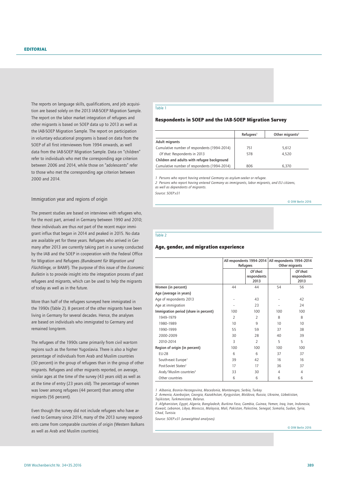The reports on language skills, qualifications, and job acquisition are based solely on the 2013 IAB-SOEP Migration Sample. The report on the labor market integration of refugees and other migrants is based on SOEP data up to 2013 as well as the IAB-SOEP Migration Sample. The report on participation in voluntary educational programs is based on data from the SOEP of all first interviewees from 1994 onwards, as well data from the IAB-SOEP Migration Sample. Data on "children" refer to individuals who met the corresponding age criterion between 2006 and 2014, while those on "adolescents" refer to those who met the corresponding age criterion between 2000 and 2014.

#### Immigration year and regions of origin

The present studies are based on interviews with refugees who, for the most part, arrived in Germany between 1990 and 2010; these individuals are thus *not* part of the recent major immigrant influx that began in 2014 and peaked in 2015. No data are available yet for these years. Refugees who arrived in Germany after 2013 are currently taking part in a survey conducted by the IAB and the SOEP in cooperation with the Federal Office for Migration and Refugees *(Bundesamt für Migration und Flüchtlinge,* or BAMF). The purpose of this issue of the *Economic Bulletin* is to provide insight into the integration process of past refugees and migrants, which can be used to help the migrants of today as well as in the future.

More than half of the refugees surveyed here immigrated in the 1990s (Table 2). 8 percent of the other migrants have been living in Germany for several decades. Hence, the analyses are based on individuals who immigrated to Germany and remained long-term.

The refugees of the 1990s came primarily from civil war-torn regions such as the former Yugoslavia. There is also a higher percentage of individuals from Arab and Muslim countries (30 percent) in the group of refugees than in the group of other migrants. Refugees and other migrants reported, on average, similar ages at the time of the survey (43 years old) as well as at the time of entry (23 years old). The percentage of women was lower among refugees (44 percent) than among other migrants (56 percent).

Even though the survey did not include refugees who have arrived to Germany since 2014, many of the 2013 survey respondents came from comparable countries of origin (Western Balkans as well as Arab and Muslim countries).

#### Table 1

#### Respondents in SOEP and the IAB-SOEP Migration Survey

|                                              | $Refu$ gees <sup>1</sup> | Other migrants <sup>2</sup> |
|----------------------------------------------|--------------------------|-----------------------------|
| Adult migrants                               |                          |                             |
| Cumulative number of respondents (1994-2014) | 751                      | 5,612                       |
| Of that: Respondents in 2013                 | 578                      | 4.520                       |
| Children and adults with refugee background  |                          |                             |
| Cumulative number of respondents (1994-2014) | 806                      | 6.370                       |

*1 Persons who report having entered Germany as asylum-seeker or refugee.*

*2 Persons who report having entered Germany as immigrants, labor migrants, and EU citizens, as well as dependents of migrants.*

*Source: SOEP.v31*

© DIW Berlin 2016

Table 2

#### Age, gender, and migration experience

|                                       |                | All respondents 1994-2014       |                | All respondents 1994-2014       |  |
|---------------------------------------|----------------|---------------------------------|----------------|---------------------------------|--|
|                                       |                | Refugees                        |                | Other migrants                  |  |
|                                       |                | Of that:<br>respondents<br>2013 |                | Of that:<br>respondents<br>2013 |  |
| Women (in percent)                    | 44             | 44                              | 54             | 56                              |  |
| Age (average in years)                |                |                                 |                |                                 |  |
| Age of respondents 2013               |                | 43                              |                | 42                              |  |
| Age at immigration                    |                | 23                              |                | 24                              |  |
| Immigration period (share in percent) | 100            | 100                             | 100            | 100                             |  |
| 1949-1979                             | $\overline{2}$ | 2                               | 8              | 8                               |  |
| 1980-1989                             | 10             | 9                               | 10             | 10                              |  |
| 1990-1999                             | 55             | 59                              | 37             | 38                              |  |
| 2000-2009                             | 30             | 28                              | 40             | 39                              |  |
| 2010-2014                             | 3              | $\overline{2}$                  | 5              | 5                               |  |
| Region of origin (in percent)         | 100            | 100                             | 100            | 100                             |  |
| <b>EU-28</b>                          | 6              | 6                               | 37             | 37                              |  |
| South-east Europe <sup>1</sup>        | 39             | 42                              | 16             | 16                              |  |
| Post-Soviet States <sup>2</sup>       | 17             | 17                              | 36             | 37                              |  |
| Arab/Muslim countries <sup>3</sup>    | 33             | 30                              | $\overline{4}$ | 4                               |  |
| Other countries                       | 6              | 6                               | 6              | 6                               |  |

*1 Albania, Bosnia-Herzegovina, Macedonia, Montenegro, Serbia, Turkey.*

*2 Armenia, Azerbaijan, Georgia, Kazakhstan, Kyrgyzstan, Moldova, Russia, Ukraine, Uzbekistan,* 

*Tajikistan, Turkmenistan, Belarus.*

3 Afghanistan, Egypt, Algeria, Bangladesh, Burkina Faso, Gambia, Guinea, Yemen, Iraq, Iran, Indonesia,<br>Kuwait, Lebanon, Libya, Morocco, Malaysia, Mali, Pakistan, Palestine, Senegal, Somalia, Sudan, Syria, *Chad, Tunisia.*

*Source: SOEP.v31 (unweighted analyses).*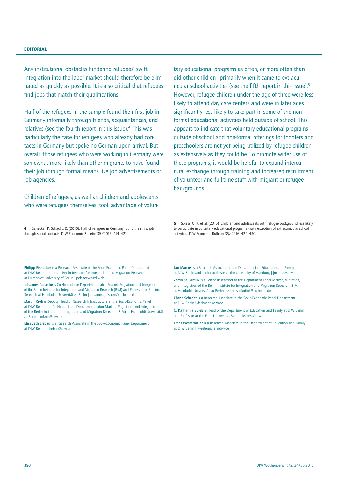Any institutional obstacles hindering refugees' swift integration into the labor market should therefore be eliminated as quickly as possible. It is also critical that refugees find jobs that match their qualifications.

Half of the refugees in the sample found their first job in Germany informally through friends, acquaintances, and relatives (see the fourth report in this issue).<sup>4</sup> This was particularly the case for refugees who already had contacts in Germany but spoke no German upon arrival. But overall, those refugees who were working in Germany were somewhat more likely than other migrants to have found their job through formal means like job advertisements or job agencies.

Children of refugees, as well as children and adolescents who were refugees themselves, took advantage of volun-

Jan Marcus is a Research Associate in the Department of Education and Family at DIW Berlin and Juniorprofessor at the University of Hamburg | jmarcus@diw.de

<sup>4</sup> Eisnecker, P. Schacht, D. (2016): Half of refugees in Germany found their first job through social contacts. DIW Economic Bulletin 35/2016, 414–421.

Philipp Eisnecker is a Research Associate in the Socio-Economic Panel Department at DIW Berlin and in the Berlin Institute for Integration and Migration Research at Humboldt University of Berlin | peisnecker@diw.de

Johannes Giesecke is Co-Head of the Department Labor Market, Migration, and Integration of the Berlin Institute for Integration and Migration Research (BIM) and Professor for Empirical Research at Humboldt-Universität zu Berlin | johannes.giesecke@hu-berlin.de

Martin Kroh is Deputy Head of Research Infrastructure at the Socio-Economic Panel at DIW Berlin and Co-Head of the Department Labor Market, Migration, and Integration of the Berlin Institute for Integration and Migration Research (BIM) at Humboldt-Universität zu Berlin | mkroh@diw.de

Elisabeth Liebau is a Research Associate in the Socio-Economic Panel Department at DIW Berlin | eliebau@diw.de

tary educational programs as often, or more often than did other children—primarily when it came to extracurricular school activities (see the fifth report in this issue).5 However, refugee children under the age of three were less likely to attend day care centers and were in later ages significantly less likely to take part in some of the nonformal educational activities held outside of school. This appears to indicate that voluntary educational programs outside of school and non-formal offerings for toddlers and preschoolers are not yet being utilized by refugee children as extensively as they could be. To promote wider use of these programs, it would be helpful to expand intercultural exchange through training and increased recruitment of volunteer and full-time staff with migrant or refugee backgrounds.

<sup>5</sup> Spiess, C. K. et al. (2016): Children and adolescents with refugee background less likely to participate in voluntary educational programs - with exception of extracurricular school activities. DIW Economic Bulletin 35/2016, 422–430.

Zerrin Salikutluk is a Senior Researcher at the Department Labor Market, Migration, and Integration of the Berlin Institute for Integration and Migration Research (BIM) at Humboldt-Universität zu Berlin. | zerrin.salikutluk@hu-berlin.de

Diana Schacht is a Research Associate in the Socio-Economic Panel Department at DIW Berlin | dschacht@diw.de

C. Katharina Spieß is Head of the Department of Education and Family at DIW Berlin and Professor at the Freie Universität Berlin | kspiess@diw.de

Franz Westermaier is a Research Associate in the Department of Education and Family at DIW Berlin | fwestermaier@diw.de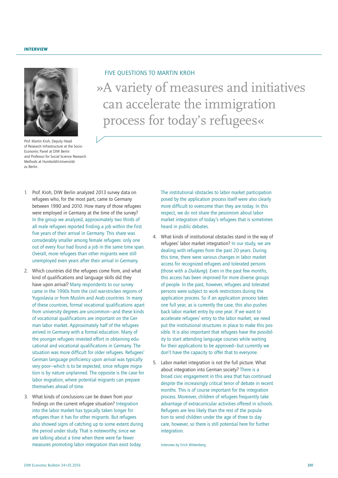

Prof. Martin Kroh, Deputy Head of Research Infrastructure at the Socio-Economic Panel at DIW Berlin and Professor for Social Science Research Methods at Humboldt-Universität zu Berlin.

»A variety of measures and initiatives can accelerate the immigration process for today's refugees« FIVE QUESTIONS TO MARTIN KROH

- 1. Prof. Kroh, DIW Berlin analyzed 2013 survey data on refugees who, for the most part, came to Germany between 1990 and 2010. How many of those refugees were employed in Germany at the time of the survey? In the group we analyzed, approximately two thirds of all male refugees reported finding a job within the first five years of their arrival in Germany. This share was considerably smaller among female refugees: only one out of every four had found a job in the same time span. Overall, more refugees than other migrants were still unemployed even years after their arrival in Germany.
- 2. Which countries did the refugees come from, and what kind of qualifications and language skills did they have upon arrival? Many respondents to our survey came in the 1990s from the civil war-stricken regions of Yugoslavia or from Muslim and Arab countries. In many of these countries, formal vocational qualifications apart from university degrees are uncommon—and these kinds of vocational qualifications are important on the German labor market. Approximately half of the refugees arrived in Germany with a formal education. Many of the younger refugees invested effort in obtaining educational and vocational qualifications in Germany. The situation was more difficult for older refugees. Refugees' German language proficiency upon arrival was typically very poor—which is to be expected, since refugee migration is by nature unplanned. The opposite is the case for labor migration, where potential migrants can prepare themselves ahead of time.
- 3. What kinds of conclusions can be drawn from your findings on the current refugee situation? Integration into the labor market has typically taken longer for refugees than it has for other migrants. But refugees also showed signs of catching up to some extent during the period under study. That is noteworthy, since we are talking about a time when there were far fewer measures promoting labor integration than exist today.

The institutional obstacles to labor market participation posed by the application process itself were also clearly more difficult to overcome than they are today. In this respect, we do not share the pessimism about labor market integration of today's refugees that is sometimes heard in public debates.

- 4. What kinds of institutional obstacles stand in the way of refugees' labor market integration? In our study, we are dealing with refugees from the past 20 years. During this time, there were various changes in labor market access for recognized refugees and tolerated persons (those with a *Duldung*). Even in the past few months, this access has been improved for more diverse groups of people. In the past, however, refugees and tolerated persons were subject to work restrictions during the application process. So if an application process takes one full year, as is currently the case, this also pushes back labor market entry by one year. If we want to accelerate refugees' entry to the labor market, we need put the institutional structures in place to make this possible. It is also important that refugees have the possibility to start attending language courses while waiting for their applications to be approved—but currently we don't have the capacity to offer that to everyone.
- 5. Labor market integration is not the full picture. What about integration into German society? There is a broad civic engagement in this area that has continued despite the increasingly critical tenor of debate in recent months. This is of course important for the integration process. Moreover, children of refugees frequently take advantage of extracurricular activities offered in schools. Refugees are less likely than the rest of the population to send children under the age of three to day care, however, so there is still potential here for further integration.

Interview by Erich Wittenberg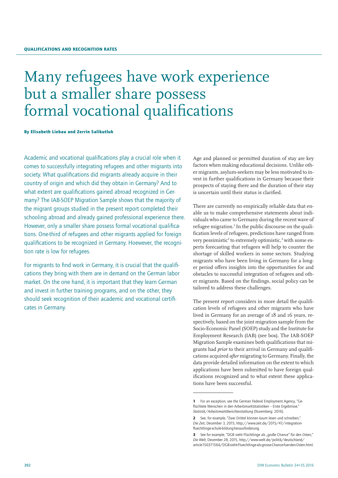## Many refugees have work experience but a smaller share possess formal vocational qualifications

By Elisabeth Liebau and Zerrin Salikutluk

Academic and vocational qualifications play a crucial role when it comes to successfully integrating refugees and other migrants into society. What qualifications did migrants already acquire in their country of origin and which did they obtain in Germany? And to what extent are qualifications gained abroad recognized in Germany? The IAB-SOEP Migration Sample shows that the majority of the migrant groups studied in the present report completed their schooling abroad and already gained professional experience there. However, only a smaller share possess formal vocational qualifications. One-third of refugees and other migrants applied for foreign qualifications to be recognized in Germany. Hoewever, the recognition rate is low for refugees.

For migrants to find work in Germany, it is crucial that the qualifications they bring with them are in demand on the German labor market. On the one hand, it is important that they learn German and invest in further training programs, and on the other, they should seek recognition of their academic and vocational certificates in Germany.

Age and planned or permitted duration of stay are key factors when making educational decisions. Unlike other migrants, asylum-seekers may be less motivated to invest in further qualifications in Germany because their prospects of staying there and the duration of their stay is uncertain until their status is clarified.

There are currently no empirically reliable data that enable us to make comprehensive statements about individuals who came to Germany during the recent wave of refugee migration.<sup>1</sup> In the public discourse on the qualification levels of refugees, predictions have ranged from very pessimistic<sup>2</sup> to extremely optimistic,<sup>3</sup> with some experts forecasting that refugees will help to counter the shortage of skilled workers in some sectors. Studying migrants who have been living in Germany for a longer period offers insights into the opportunities for and obstacles to successful integration of refugees and other migrants. Based on the findings, social policy can be tailored to address these challenges.

The present report considers in more detail the qualification levels of refugees and other migrants who have lived in Germany for an average of 18 and 16 years, respectively, based on the joint migration sample from the Socio-Economic Panel (SOEP) study and the Institute for Employment Research (IAB) (see box). The IAB-SOEP Migration Sample examines both qualifications that migrants had *prior* to their arrival in Germany and qualifications acquired *after* migrating to Germany. Finally, the data provide detailed information on the extent to which applications have been submitted to have foreign qualifications recognized and to what extent these applications have been successful.

<sup>1</sup> For an exception, see the German Federal Employment Agency, "Geflüchtete Menschen in den Arbeitsmarktstatistiken – Erste Ergebnisse," *Statistik/Arbeitsmarktberichterstattung* (Nuremberg: 2016).

<sup>2</sup> See, for example, "Zwei Drittel können kaum lesen und schreiben," *Die Zeit*, December 3, 2015, http://www.zeit.de/2015/47/integrationfluechtlinge-schule-bildung-herausforderung.

<sup>3</sup> See for example, "DGB sieht Flüchtlinge als "große Chance" für den Osten," *Die Welt*, December 28, 2015, http://www.welt.de/politik/deutschland/ article150371564/DGB-sieht-Fluechtlinge-als-grosse-Chance-fuer-den-Osten.html.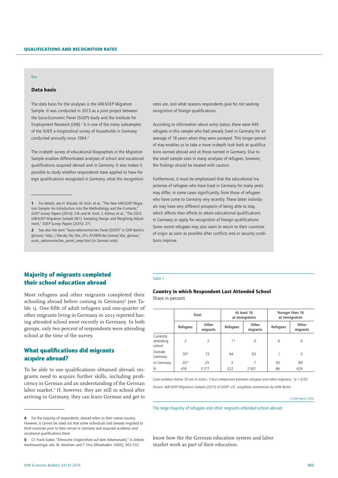#### Box

## Data basis

The data basis for the analyses is the IAB-SOEP Migration Sample. It was conducted in 2013 as a joint project between the Socio-Economic Panel (SOEP) study and the Institute for Employment Research (IAB). $<sup>1</sup>$  It is one of the many subsamples</sup> of the SOEP, a longitudinal survey of households in Germany conducted annually since 1984.<sup>2</sup>

The in-depth survey of educational biographies in the Migration Sample enables differentiated analyses of school and vocational qualifications acquired abroad and in Germany. It also makes it possible to study whether respondents have applied to have foreign qualifications recognized in Germany, what the recognition

rates are, and what reasons respondents give for not seeking recognition of foreign qualifications.

According to information about entry status, there were 446 refugees in this sample who had already lived in Germany for an average of 18 years when they were surveyed. This longer period of stay enables us to take a more in-depth look both at qualifications earned abroad and at those earned in Germany. Due to the small sample sizes in many analyses of refugees, however, the findings should be treated with caution.

Furthermore, it must be emphasized that the educational trajectories of refugees who have lived in Germany for many years may differ, in some cases significantly, from those of refugees who have come to Germany very recently. These latter individuals may have very different prospects of being able to stay, which affects their efforts to attain educational qualifications in Germany or apply for recognition of foreign qualifications. Some recent refugees may also want to return to their countries of origin as soon as possible after conflicts end or security conditions improve.

## Majority of migrants completed their school education abroad

Most refugees and other migrants completed their schooling abroad before coming to Germany<sup>4</sup> (see Table 1). One-fifth of adult refugees and one-quarter of other migrants living in Germany in 2013 reported having attended school most recently in Germany. In both groups, only two percent of respondents were attending school at the time of the survey.

## What qualifications did migrants acquire abroad?

To be able to use qualifications obtained abroad, migrants need to acquire further skills, including proficiency in German and an understanding of the German labor market.<sup>5</sup> If, however, they are still in school after arriving in Germany, they can learn German and get to

#### Table 1

### Country in which Respondent Last Attended School Share in percent

|                                  | Total          |                   |          | At least 16<br>at immigration | Younger than 16<br>at immigration |                   |  |  |
|----------------------------------|----------------|-------------------|----------|-------------------------------|-----------------------------------|-------------------|--|--|
|                                  | Refugees       | Other<br>migrants | Refugees | Other<br>migrants             | Refugees                          | Other<br>migrants |  |  |
| Currently<br>attending<br>school | $\overline{z}$ | $\overline{2}$    | $7*$     | $\Omega$                      | 6                                 | 6                 |  |  |
| Outside<br>Germany               | $78*$          | 73                | 94       | 93                            |                                   | 5                 |  |  |
| In Germany                       | $20*$          | 25                | 5        |                               | 93                                | 89                |  |  |
| N                                | 418            | 3177              | 332      | 2501                          | 86                                | 676               |  |  |

*Case numbers below 30 are in italics. T-test comparison between refugees and other migrants, \*p < 0.05. Source: IAB-SOEP Migration Sample (2013) of SOEP. v31, weighted; estimations by DIW Berlin.*

© DIW Berlin 2016

The large majority of refugees and other migrants attended school abroad.

know how the the German education system and labor market work as part of their education.

<sup>1</sup> For details, see H. Brücker, M. Kroh, et al., "The New IAB-SOEP Migration Sample: An Introduction into the Methodology and the Contents," *SOEP Survey Papers* (2014): 216 and M. Kroh, S. Kühne, et al., "The 2013 IAB-SOEP Migration Sample (M1): Sampling Design and Weighting Adjustment," *SOEP Survey Papers* (2015): 271.

<sup>2</sup> See also the term "Sozio-oekonomisches Panel (SOEP)" in DIW Berlin's glossary: http://diw.de/de/diw\_01.c.412809.de/presse/diw\_glossar/ sozio\_oekonomisches\_panel\_soep.html (in German only).

**<sup>4</sup>** For the majority of respondents, abroad refers to their native country. However, it cannot be ruled out that some individuals had already migrated to third countries prior to their arrival in Germany and acquired academic and vocational qualifications there.

<sup>5</sup> Cf. Frank Kalter, "Ethnische Ungleichheit auf dem Arbeitsmarkt," in *Arbeitsmarktsoziologie*, eds. M. Abraham and T. Hinz (Wiesbaden: 2005), 303–332.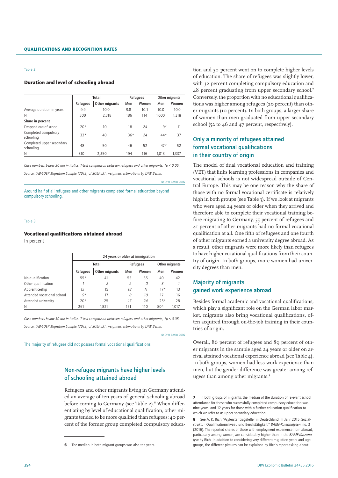#### Duration and level of schooling abroad

|                                        |          | Total          |       | Refugees | Other migrants |       |
|----------------------------------------|----------|----------------|-------|----------|----------------|-------|
|                                        | Refugees | Other migrants | Men   | Women    | Men            | Women |
| Average duration in years              | 9.9      | 10.0           | 9.8   | 10.1     | 10.0           | 10.0  |
| N                                      | 300      | 2,318          | 186   | 114      | 1.000          | 1,318 |
| Share in percent                       |          |                |       |          |                |       |
| Dropped out of school                  | $20*$    | 10             | 18    | 24       | $9*$           | 11    |
| Completed compulsory<br>schooling      | $32*$    | 40             | $36*$ | 24       | $44*$          | 37    |
| Completed upper secondary<br>schooling | 48       | 50             | 46    | 52       | $47*$          | 52    |
| N                                      | 310      | 2.350          | 194   | 116      | 1,013          | 1.337 |

*Case numbers below 30 are in italics. T-test comparison between refugees and other migrants, \*p < 0.05. Source: IAB-SOEP Migration Sample (2013) of SOEP.v31, weighted; estimations by DIW Berlin.*

© DIW Berlin 2016

Around half of all refugees and other migrants completed formal education beyond compulsory schooling.

#### Table 3

#### Vocational qualifications obtained abroad

In percent

|                            | 24 years or older at immigration |                |     |          |                |       |  |  |  |
|----------------------------|----------------------------------|----------------|-----|----------|----------------|-------|--|--|--|
|                            |                                  | Total          |     | Refugees | Other migrants |       |  |  |  |
|                            | Refugees                         | Other migrants | Men | Women    | Men            | Women |  |  |  |
| No qualification           | $55*$                            | 41             | 55  | 55       | 40             | 42    |  |  |  |
| Other qualification        |                                  |                | 2   | 0        | 3              |       |  |  |  |
| Apprenticeship             | 15                               | 15             | 18  | 11       | $17*$          | 13    |  |  |  |
| Attended vocational school | $9*$                             | 17             | 8   | 10       | 17             | 16    |  |  |  |
| Attended university        | $20*$                            | 25             | 17  | 24       | $23*$          | 28    |  |  |  |
| N                          | 261                              | 1,821          | 151 | 110      | 804            | 1,017 |  |  |  |

*Case numbers below 30 are in italics. T-test comparison between refugees and other migrants, \*p < 0.05. Source: IAB-SOEP Migration Sample (2013) of SOEP.v31, weighted; estimations by DIW Berlin.*

© DIW Berlin 2016

The majority of refugees did not possess formal vocational qualifications.

## Non-refugee migrants have higher levels of schooling attained abroad

Refugees and other migrants living in Germany attended an average of ten years of general schooling abroad before coming to Germany (see Table 2).<sup>6</sup> When differentiating by level of educational qualification, other migrants tended to be more qualified than refugees: 40 percent of the former group completed compulsory educa-

tion and 50 percent went on to complete higher levels of education. The share of refugees was slightly lower, with 32 percent completing compulsory education and 48 percent graduating from upper secondary school.7 Conversely, the proportion with no educational qualifications was higher among refugees (20 percent) than other migrants (10 percent). In both groups, a larger share of women than men graduated from upper secondary school (52 to 46 and 47 percent, respectively).

## Only a minority of refugees attained formal vocational qualifications in their country of origin

The model of dual vocational education and training (VET) that links learning professions in companies and vocational schools is not widespread outside of Central Europe. This may be one reason why the share of those with no formal vocational certificate is relatively high in both groups (see Table 3). If we look at migrants who were aged 24 years or older when they arrived and therefore able to complete their vocational training before migrating to Germany, 55 percent of refugees and 41 percent of other migrants had no formal vocational qualification at all. One fifth of refugees and one fourth of other migrants earned a university degree abroad. As a result, other migrants were more likely than refugees to have higher vocational qualifications from their country of origin. In both groups, more women had university degrees than men.

## Majority of migrants gained work experience abroad

Besides formal academic and vocational qualifications, which play a significant role on the German labor market, migrants also bring vocational qualifications, often acquired through on-the-job training in their countries of origin.

Overall, 86 percent of refugees and 89 percent of other migrants in the sample aged 24 years or older on arrival attained vocational experience abroad (see Table 4). In both groups, women had less work experience than men, but the gender difference was greater among refugess than among other migrants.<sup>8</sup>

The median in both migrant groups was also ten years.

<sup>7</sup> In both groups of migrants, the median of the duration of relevant school attendance for those who successfully completed compulsory education was nine years, and 12 years for those with a further education qualification to which we refer to as upper secondary education.

<sup>8</sup> See A. K. Rich, "Asylerstantragsteller in Deutschland im Jahr 2015: Sozialstruktur. Qualifikationsniveau und Berufstätigkeit," *BAMF-Kurzanalysen*, no. 3 (2016). The reported shares of those with employment experience from abroad, particularly among women, are considerably higher than in the *BAMF-Kurzanalyse* by Rich. In addition to considering very different migration years and age groups, the different pictures can be explained by Rich's report asking about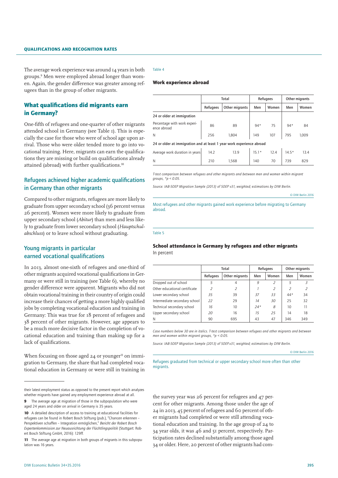#### Qualifications and recognition rates

The average work experience was around 14 years in both groups.9 Men were employed abroad longer than women. Again, the gender difference was greater among refugees than in the group of other migrants.

## What qualifications did migrants earn in Germany?

One-fifth of refugees and one-quarter of other migrants attended school in Germany (see Table 1). This is especially the case for those who were of school age upon arrival. Those who were older tended more to go into vocational training. Here, migrants can earn the qualifications they are missing or build on qualifications already attained (abroad) with further qualifications.<sup>10</sup>

## Refugees achieved higher academic qualifications in Germany than other migrants

Compared to other migrants, refugees are more likely to graduate from upper secondary school (36 percent versus 26 percent). Women were more likely to graduate from upper secondary school (*Abitur*) than men and less likely to graduate from lower secondary school (*Hauptschulabschluss*) or to leave school without graduating.

## Young migrants in particular earned vocational qualifications

In 2013, almost one-sixth of refugees and one-third of other migrants acquired vocational qualifications in Germany or were still in training (see Table 6), whereby no gender difference were apparent. Migrants who did not obtain vocational training in their country of origin could increase their chances of getting a more highly qualified jobs by completing vocational education and training in Germany: This was true for 18 percent of refugees and 38 percent of other migrants. However, age appears to be a much more decisive factor in the completion of vocational education and training than making up for a lack of qualifications.

When focusing on those aged  $24$  or younger<sup>11</sup> on immigration to Germany, the share that had completed vocational education in Germany or were still in training in

#### Table 4

#### Work experience abroad

|                                                                       |          | Total          |              | Refugees           | Other migrants |       |  |
|-----------------------------------------------------------------------|----------|----------------|--------------|--------------------|----------------|-------|--|
|                                                                       | Refugees | Other migrants | Women<br>Men |                    | Men            | Women |  |
| 24 or older at immigration                                            |          |                |              |                    |                |       |  |
| Percentage with work experi-<br>ence abroad                           | 86       | 89             |              | 94* 75             | $94*$          | 84    |  |
| N                                                                     | 256      | 1,804          | 149          | 107                | 795            | 1,009 |  |
| 24 or older at immigration and at least 1 year work experience abroad |          |                |              |                    |                |       |  |
| Average work duration in years                                        | 14.2     | 13.9           |              | $15.1*$ 12.4 14.5* |                | 13.4  |  |
| N                                                                     | 210      | 1,568          | 140          | 70                 | 739            | 829   |  |

*T-test comparison between refugees and other migrants and between men and women within migrant groups, \*p < 0.05.*

*Source: IAB-SOEP Migration Sample (2013) of SOEP v31, weighted; estimations by DIW Berlin.* 

© DIW Berlin 2016

#### Most refugees and other migrants gained work experience before migrating to Germany abroad.

Table 5

#### School attendance in Germany by refugees and other migrants In percent

|                               |          | Total          |       | Refugees       | Other migrants |                          |  |
|-------------------------------|----------|----------------|-------|----------------|----------------|--------------------------|--|
|                               | Refugees | Other migrants | Men   | Women          | Men            | Women                    |  |
| Dropped out of school         | 5        | 4              | 9     | $\overline{z}$ | .5             | 3                        |  |
| Other educational certificate |          | 2              |       | 2              | 2              | $\overline{\mathcal{L}}$ |  |
| Lower secondary school        | 35       | 39             | 37    | 33             | $44*$          | 34                       |  |
| Intermediate secondary school | 22       | 29             | 14    | 30             | 25             | 32                       |  |
| Technical secondary school    | 16       | 10             | $24*$ | 8              | 10             | 11                       |  |
| Upper secondary school        | 20       | 16             | 15    | 25             | 14             | 18                       |  |
| N                             | 90       | 695            | 43    | 47             | 346            | 349                      |  |

*Case numbers below 30 are in italics. T-test comparison between refugees and other migrants and between men and women within migrant groups, \*p < 0.05.*

*Source: IAB-SOEP Migration Sample (2013) of SOEP.v31, weighted; estimations by DIW Berlin.* 

© DIW Berlin 2016

Refugees graduated from technical or upper secondary school more often than other migrants.

the survey year was 26 percent for refugees and 47 percent for other migrants. Among those under the age of 24 in 2013, 45 percent of refugees and 60 percent of other migrants had completed or were still attending vocational education and training. In the age group of 24 to 34 year olds, it was 46 and 51 percent, respectively. Participation rates declined substantially among those aged 34 or older. Here, 20 percent of other migrants had com-

their latest employment status as opposed to the present report which analyzes whether migrants have gained any employment experience abroad at all.

<sup>9</sup> The average age at migration of those in the subpopulation who were aged 24 years and older on arrival in Germany is 35 years.

<sup>10</sup> A detailed description of access to training at educational facilities for refugees can be found in Robert Bosch Stiftung (pub.), "Chancen erkennen – Perspektiven schaffen – Integration ermöglichen," *Bericht der Robert Bosch Expertenkommission zur Neuausrichtung der Flüchtlingspolitik* (Stuttgart: Robert Bosch Stiftung GmbH, 2016): 129ff.

<sup>11</sup> The average age at migration in both groups of migrants in this subpopulation was 16 years.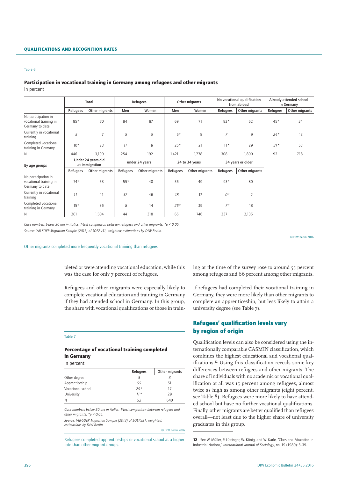## Participation in vocational training in Germany among refugees and other migrants

In percent

|                                                                  |          | Total                                |                | Refugees       |                | Other migrants |                   | No vocational qualification<br>from abroad |          | Already attended school<br>in Germany |
|------------------------------------------------------------------|----------|--------------------------------------|----------------|----------------|----------------|----------------|-------------------|--------------------------------------------|----------|---------------------------------------|
|                                                                  | Refugees | Other migrants                       | Men            | Women          | Men            | Women          | Refugees          | Other migrants                             | Refugees | Other migrants                        |
| No participation in<br>vocational training in<br>Germany to date | 85*      | 70                                   | 84             | 87             | 69             | 71             | $82*$             | 62                                         | $45*$    | 34                                    |
| Currently in vocational<br>training                              | 5        | $\overline{7}$                       | 5              | 5              | $6*$           | 8              | 7                 | $\overline{9}$                             | $24*$    | 13                                    |
| Completed vocational<br>training in Germany                      | $10*$    | 23                                   | 11             | 8              | $25*$          | 21             | $11*$             | 29                                         | $31*$    | 53                                    |
| Ν                                                                | 446      | 3,199                                | 254            | 192            | 1,421          | 1,778          | 308               | 1,800                                      | 92       | 718                                   |
| By age groups                                                    |          | Under 24 years old<br>at immigration | under 24 years |                | 24 to 34 years |                | 34 years or older |                                            |          |                                       |
|                                                                  | Refugees | Other migrants                       | Refugees       | Other migrants | Refugees       | Other migrants | Refugees          | Other migrants                             |          |                                       |
| No participation in<br>vocational training in<br>Germany to date | $74*$    | 53                                   | $55*$          | 40             | 56             | 49             | $93*$             | 80                                         |          |                                       |
| Currently in vocational<br>training                              | 11       | 11                                   | 37             | 46             | 18             | 12             | $O^*$             | $\overline{2}$                             |          |                                       |
| Completed vocational<br>training in Germany                      | $15*$    | 36                                   | 8              | 14             | $26*$          | 39             | $7*$              | 18                                         |          |                                       |
| N                                                                | 201      | 1,504                                | 44             | 318            | 65             | 746            | 337               | 2,135                                      |          |                                       |

*Case numbers below 30 are in italics. T-test comparison between refugees and other migrants, \*p < 0.05. Source: IAB-SOEP Migration Sample (2013) of SOEP.v31, weighted; estimations by DIW Berlin.* 

© DIW Berlin 2016

Other migrants completed more frequently vocational training than refugees.

pleted or were attending vocational education, while this was the case for only 7 percent of refugees.

Refugees and other migrants were especially likely to complete vocational education and training in Germany if they had attended school in Germany. In this group, the share with vocational qualifications or those in train-

#### Table 7

### Percentage of vocational training completed in Germany

In percent

|                   | Refugees | Other migrants |
|-------------------|----------|----------------|
| Other degree      |          |                |
| Apprenticeship    | 55       | 51             |
| Vocational school | $29*$    | 17             |
| University        | $11*$    | 29             |
| N                 | 52       | 640            |

*Case numbers below 30 are in italics. T-test comparison between refugees and other migrants, \*p < 0.05.*

*Source: IAB-SOEP Migration Sample (2013) of SOEP.v31, weighted; estimations by DIW Berlin.* 

© DIW Berlin 2016

Refugees completed apprenticeships or vocational school at a higher rate than other migrant groups.

ing at the time of the survey rose to around 55 percent among refugees and 66 percent among other migrants.

If refugees had completed their vocational training in Germany, they were more likely than other migrants to complete an apprenticeship, but less likely to attain a university degree (see Table 7).

## Refugees' qualification levels vary by region of origin

Qualification levels can also be considered using the internationally comparable CASMIN classification, which combines the highest educational and vocational qualifications.12 Using this classification reveals some key differences between refugees and other migrants. The share of individuals with no academic or vocational qualification at all was 15 percent among refugees, almost twice as high as among other migrants (eight percent, see Table 8). Refugees were more likely to have attended school but have no further vocational qualifications. Finally, other migrants are better qualified than refugees overall—not least due to the higher share of university graduates in this group.

12 See W. Müller, P. Lüttinger, W. König, and W. Karle, "Class and Education in Industrial Nations," *International Journal of Sociology*, no. 19 (1989): 3–39.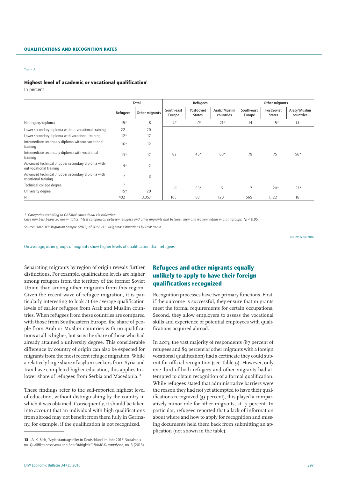#### Qualifications and recognition rates

#### Table 8

#### Highest level of academic or vocational qualification<sup>1</sup>

In percent

|                                                                                 |          | Total          | Refugees             |                              |                          | Other migrants       |                              |                          |
|---------------------------------------------------------------------------------|----------|----------------|----------------------|------------------------------|--------------------------|----------------------|------------------------------|--------------------------|
|                                                                                 | Refugees | Other migrants | South-east<br>Europe | Post-Soviet<br><b>States</b> | Arab/Muslim<br>countries | South-east<br>Europe | Post-Soviet<br><b>States</b> | Arab/Muslim<br>countries |
| No degree/diploma                                                               | $15*$    | 8              | 12                   | 0*                           | $21*$                    | 14                   | $5*$                         | 13                       |
| Lower secondary diploma without vocational training                             | 22       | 20             |                      |                              |                          |                      |                              |                          |
| Lower secondary diploma with vocational training                                | $12*$    | 17             |                      |                              |                          |                      |                              |                          |
| Intermediate secondary diploma without vocational<br>training                   | $16*$    | 12             |                      |                              |                          |                      |                              |                          |
| Intermediate secondary diploma with vocational<br>training                      | $13*$    | 17             | 82                   | $45*$                        | 68*                      | 79                   | 75                           | 56*                      |
| Advanced technical / upper secondary diploma with-<br>out vocational training   | $5*$     | $\overline{2}$ |                      |                              |                          |                      |                              |                          |
| Advanced technical $\angle$ upper secondary diploma with<br>vocational training |          | 3              |                      |                              |                          |                      |                              |                          |
| Technical college degree                                                        |          |                |                      |                              |                          | $\overline{7}$       |                              |                          |
| University degree                                                               | $15*$    | 20             | 6                    | $55*$                        | 11                       |                      | $20*$                        | $31*$                    |
| Ν                                                                               | 402      | 3,057          | 165                  | 83                           | 120                      | 565                  | 1,122                        | 116                      |

*1 Categories according to CASMIN educational classification.*

*Case numbers below 30 are in italics. T-test comparison between refugees and other migrants and between men and women within migrant groups, \*p < 0.05.*

*Source: IAB-SOEP Migration Sample (2013) of SOEP.v31, weighted; estimations by DIW Berlin.*

© DIW Berlin 2016

On average, other groups of migrants show higher levels of qualification than refugees.

Separating migrants by region of origin reveals further distinctions. For example, qualification levels are higher among refugees from the territory of the former Soviet Union than among other migrants from this region. Given the recent wave of refugee migration, it is particularly interesting to look at the average qualification levels of earlier refugees from Arab and Muslim countries. When refugees from these countries are compared with those from Southeastern Europe, the share of people from Arab or Muslim countries with no qualifications at all is higher, but so is the share of those who had already attained a university degree. This considerable difference by country of origin can also be expected for migrants from the most recent refugee migration. While a relatively large share of asylum-seekers from Syria and Iran have completed higher education, this applies to a lower share of refugees from Serbia and Macedonia.<sup>13</sup>

These findings refer to the self-reported highest level of education, without distinguishing by the country in which it was obtained. Consequently, it should be taken into account that an individual with high qualifications from abroad may not benefit from them fully in Germany, for example, if the qualification is not recognized.

## Refugees and other migrants equally unlikely to apply to have their foreign qualifications recognized

Recognition processes have two primary functions. First, if the outcome is successful, they ensure that migrants meet the formal requirements for certain occupations. Second, they allow employers to assess the vocational skills and experience of potential employees with qualifications acquired abroad.

In 2013, the vast majority of respondents (87 percent of refugees and 89 percent of other migrants with a foreign vocational qualification) had a certificate they could submit for official recognition (see Table 9). However, only one-third of both refugees and other migrants had attempted to obtain recognition of a formal qualification. While refugees stated that administrative barriers were the reason they had not yet attempted to have their qualifications recognized (33 percent), this played a comparatively minor role for other migrants, at 17 percent. In particular, refugees reported that a lack of information about where and how to apply for recognition and missing documents held them back from submitting an application (not shown in the table).

<sup>13</sup> A. K. Rich, "Asylerstantragsteller in Deutschland im Jahr 2015: Sozialstruktur. Qualifikationsniveau und Berufstätigkeit," *BAMF-Kurzanalysen*, no. 3 (2016).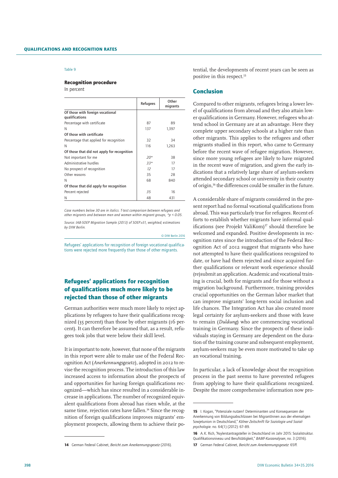#### Recognition procedure

In percent

|                                                    | Refugees | Other<br>migrants |
|----------------------------------------------------|----------|-------------------|
| Of those with foreign vocational<br>qualifications |          |                   |
| Percentage with certificate                        | 87       | 89                |
| N                                                  | 137      | 1,397             |
| Of those with certificate                          |          |                   |
| Percentage that applied for recognition            | 32       | 34                |
| N                                                  | 116      | 1.263             |
| Of those that did not apply for recognition        |          |                   |
| Not important for me                               | $20*$    | 38                |
| Administrative hurdles                             | $33*$    | 17                |
| No prospect of recognition                         | 12       | 17                |
| Other reasons                                      | 35       | 28                |
| N                                                  | 68       | 840               |
| Of those that did apply for recognition            |          |                   |
| Percent rejected                                   | 35       | 16                |
| N                                                  | 48       | 431               |

*Case numbers below 30 are in italics. T-test comparison between refugees and other migrants and between men and women within migrant groups, \*p < 0.05.*

*Source: IAB-SOEP Migration Sample (2013) of SOEP.v31, weighted; estimations by DIW Berlin.*

© DIW Berlin 2016

Refugees' applications for recognition of foreign vocational qualifications were rejected more frequently than those of other migrants.

## Refugees' applications for recognition of qualifications much more likely to be rejected than those of other migrants

German authorities were much more likely to reject applications by refugees to have their qualifications recognized (35 percent) than those by other migrants (16 percent). It can therefore be assumed that, as a result, refugees took jobs that were below their skill level.

It is important to note, however, that none of the migrants in this report were able to make use of the Federal Recognition Act (*Anerkennungsgesetz*), adopted in 2012 to revise the recognition process. The introduction of this law increased access to information about the prospects of and opportunities for having foreign qualifications recognized—which has since resulted in a considerable increase in applications. The number of recognized equivalent qualifications from abroad has risen while, at the same time, rejection rates have fallen.<sup>14</sup> Since the recognition of foreign qualifications improves migrants' employment prospects, allowing them to achieve their potential, the developments of recent years can be seen as positive in this respect.15

### Conclusion

Compared to other migrants, refugees bring a lower level of qualifications from abroad and they also attain lower qualifications in Germany. However, refugees who attend school in Germany are at an advantage. Here they complete upper secondary schools at a higher rate than other migrants. This applies to the refugees and other migrants studied in this report, who came to Germany before the recent wave of refugee migration. However, since more young refugees are likely to have migrated in the recent wave of migration, and given the early indications that a relatively large share of asylum-seekers attended secondary school or university in their country of origin,16 the differences could be smaller in the future.

A considerable share of migrants considered in the present report had no formal vocational qualifications from abroad. This was particularly true for refugees. Recent efforts to establish whether migrants have informal qualifications (see Projekt ValiKom) $17$  should therefore be welcomed and expanded. Positive developments in recognition rates since the introduction of the Federal Recognition Act of 2012 suggest that migrants who have not attempted to have their qualifications recognized to date, or have had them rejected and since acquired further qualifications or relevant work experience should (re)submit an application. Academic and vocational training is crucial, both for migrants and for those without a migration background. Furthermore, training provides crucial opportunities on the German labor market that can improve migrants' long-term social inclusion and life chances. The Integration Act has also created more legal certainty for asylum-seekers and those with leave to remain (*Duldung*) who are commencing vocational training in Germany. Since the prospects of these individuals staying in Germany are dependent on the duration of the training course and subsequent employment, asylum-seekers may be even more motivated to take up an vocational training.

In particular, a lack of knowledge about the recognition process in the past seems to have prevented refugees from applying to have their qualifications recognized. Despite the more comprehensive information now pro-

<sup>14</sup> German Federal Cabinet, *Bericht zum Anerkennungsgesetz* (2016).

<sup>15</sup> I. Kogan, "Potenziale nutzen! Determinanten und Konsequenzen der Anerkennung von Bildungsabschlüssen bei MigrantInnen aus der ehemaligen Sowjetunion in Deutschland," *Kölner Zeitschrift für Soziologie und Sozialpsychologie*. no. 64(1) (2012): 67–89.

<sup>16</sup> A.K. Rich, "Asylerstantragsteller in Deutschland im Jahr 2015: Sozialstruktur. Qualifikationsniveau und Berufstätigkeit," *BAMF-Kurzanalysen*, no. 3 (2016). 17 German Federal Cabinet, *Bericht zum Anerkennungsgesetz*: 65ff.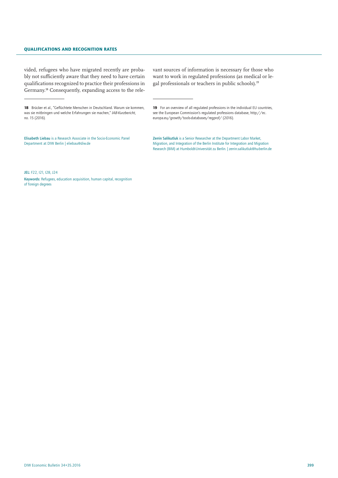#### Qualifications and recognition rates

vided, refugees who have migrated recently are probably not sufficiently aware that they need to have certain qualifications recognized to practice their professions in Germany.18 Consequently, expanding access to the rele-

18 Brücker et al., "Geflüchtete Menschen in Deutschland. Warum sie kommen, was sie mitbringen und welche Erfahrungen sie machen," *IAB-Kurzbericht*, no. 15 (2016).

Elisabeth Liebau is a Research Associate in the Socio-Economic Panel Department at DIW Berlin | eliebau@diw.de

vant sources of information is necessary for those who want to work in regulated professions (as medical or legal professionals or teachers in public schools).19

19 For an overview of all regulated professions in the individual EU countries, see the European Commission's regulated professions database, http://ec. europa.eu/growth/tools-databases/regprof/ (2016).

Zerrin Salikutluk is a Senior Researcher at the Department Labor Market, Migration, and Integration of the Berlin Institute for Integration and Migration Research (BIM) at Humboldt-Universität zu Berlin. | zerrin.salikutluk@hu-berlin.de

JEL: F22, I21, I28, J24

Keywords: Refugees, education acquisition, human capital, recognition of foreign degrees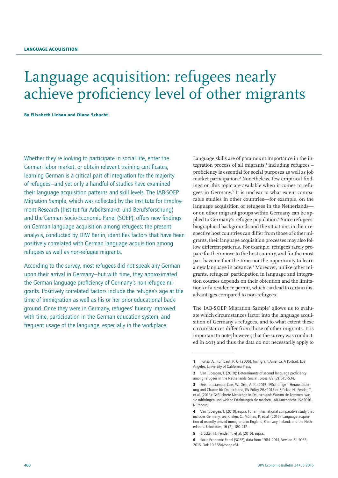## Language acquisition: refugees nearly achieve proficiency level of other migrants

By Elisabeth Liebau and Diana Schacht

Whether they're looking to participate in social life, enter the German labor market, or obtain relevant training certificates, learning German is a critical part of integration for the majority of refugees—and yet only a handful of studies have examined their language acquisition patterns and skill levels. The IAB-SOEP Migration Sample, which was collected by the Institute for Employment Research (Institut für Arbeitsmarkt- und Berufsforschung) and the German Socio-Economic Panel (SOEP), offers new findings on German language acquisition among refugees; the present analysis, conducted by DIW Berlin, identifies factors that have been positively correlated with German language acquisition among refugees as well as non-refugee migrants.

According to the survey, most refugees did not speak any German upon their arrival in Germany—but with time, they approximated the German language proficiency of Germany's non-refugee migrants. Positively correlated factors include the refugee's age at the time of immigration as well as his or her prior educational background. Once they were in Germany, refugees' fluency improved with time, participation in the German education system, and frequent usage of the language, especially in the workplace.

Language skills are of paramount importance in the integration process of all migrants,<sup>1</sup> including refugees proficiency is essential for social purposes as well as job market participation.2 Nonetheless, few empirical findings on this topic are available when it comes to refugees in Germany.<sup>3</sup> It is unclear to what extent comparable studies in other countries—for example, on the language acquisition of refugees in the Netherlands or on other migrant groups within Germany can be applied to Germany's refugee population.<sup>4</sup> Since refugees' biographical backgrounds and the situations in their respective host countries can differ from those of other migrants, their language acquisition processes may also follow different patterns. For example, refugees rarely prepare for their move to the host country, and for the most part have neither the time nor the opportunity to learn a new language in advance.<sup>5</sup> Moreover, unlike other migrants, refugees' participation in language and integration courses depends on their obtention and the limitations of a residence permit, which can lead to certain disadvantages compared to non-refugees.

The IAB-SOEP Migration Sample<sup>6</sup> allows us to evaluate which circumstances factor into the language acquisition of Germany's refugees, and to what extent these circumstances differ from those of other migrants. It is important to note, however, that the survey was conducted in 2013 and thus the data do not necessarily apply to

5 Brücker, H., Fendel, T., et al. (2016), supra.

<sup>1</sup> Portes, A., Rumbaut, R. G. (2006): Immigrant America: A Portrait. Los Angeles: University of California Press.

<sup>2</sup> Van Tubergen, F. (2010): Determinants of second language proficiency among refugees in the Netherlands. Social Forces, 89 (2), 515–534.

<sup>3</sup> See, for example: Geis, W., Orth, A. K. (2015): Flüchtlinge – Herausforderung und Chance für Deutschland, IW Policy 26/2015 or Brücker, H., Fendel, T., et al. (2016): Geflüchtete Menschen in Deutschland: Warum sie kommen, was sie mitbringen und welche Erfahrungen sie machen. IAB-Kurzbericht 15/2016. Nürnberg.

<sup>4</sup> Van Tubergen, F. (2010), supra. For an international comparative study that includes Germany, see Kristen, C., Mühlau, P., et al. (2016): Language acquisition of recently arrived immigrants in England, Germany, Ireland, and the Netherlands. Ethnicities, 16 (2), 180–212.

<sup>6</sup> Socio-Economic Panel (SOEP), data from 1984–2014, Version 31, SOEP, 2015. Doi: 10.5684/soep.v31.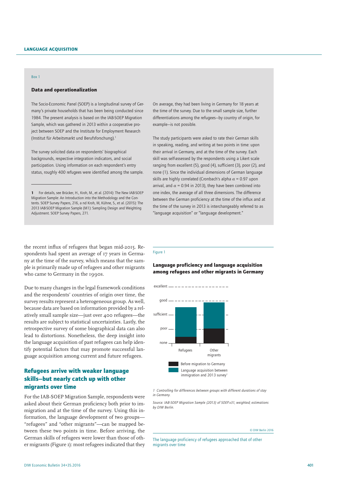#### Box 1

#### Data and operationalization

The Socio-Economic Panel (SOEP) is a longitudinal survey of Germany's private households that has been being conducted since 1984. The present analysis is based on the IAB-SOEP Migration Sample, which was gathered in 2013 within a cooperative project between SOEP and the Institute for Employment Research (Institut für Arbeitsmarkt und Berufsforschung).1

The survey solicited data on respondents' biographical backgrounds, respective integration indicators, and social participation. Using information on each respondent's entry status, roughly 400 refugees were identified among the sample.

On average, they had been living in Germany for 18 years at the time of the survey. Due to the small sample size, further differentiations among the refugees—by country of origin, for example—is not possible.

The study participants were asked to rate their German skills in speaking, reading, and writing at two points in time: upon their arrival in Germany, and at the time of the survey. Each skill was self-assessed by the respondents using a Likert scale ranging from excellent (5), good (4), sufficient (3), poor (2), and none (1). Since the individual dimensions of German language skills are highly correlated (Cronbach's alpha  $\alpha$  = 0.97 upon arrival, and  $\alpha$  = 0.94 in 2013), they have been combined into one index, the average of all three dimensions. The difference between the German proficiency at the time of the influx and at the time of the survey in 2013 is interchangeably referred to as "language acquisition" or "language development."

the recent influx of refugees that began mid-2015. Respondents had spent an average of 17 years in Germany at the time of the survey, which means that the sample is primarily made up of refugees and other migrants who came to Germany in the 1990s.

Due to many changes in the legal framework conditions and the respondents' countries of origin over time, the survey results represent a heterogeneous group. As well, because data are based on information provided by a relatively small sample size—just over 400 refugees—the results are subject to statistical uncertainties. Lastly, the retrospective survey of some biographical data can also lead to distortions. Nonetheless, the deep insight into the language acquisition of past refugees can help identify potential factors that may promote successful language acquisition among current and future refugees.

## Refugees arrive with weaker language skills—but nearly catch up with other migrants over time

For the IAB-SOEP Migration Sample, respondents were asked about their German proficiency both prior to immigration and at the time of the survey. Using this information, the language development of two groups— "refugees" and "other migrants"—can be mapped between these two points in time. Before arriving, the German skills of refugees were lower than those of other migrants (Figure 1): most refugees indicated that they

#### Figure 1

## Language proficiency and language acquisition among refugees and other migrants in Germany



 $excellent$  — – – – – – – – – – – – – – – – –

*1 Controlling for differences between groups with different durations of stay in Germany.*

*Source: IAB-SOEP Migration Sample (2013) of SOEP.v31, weighted; estimations by DIW Berlin.* 

#### © DIW Berlin 2016

The language proficiency of refugees approached that of other migrants over time

<sup>1</sup> For details, see Brücker, H., Kroh, M., et al. (2014): The New IAB-SOEP Migration Sample: An Introduction into the Methodology and the Contents. SOEP Survey Papers, 216, a nd Kroh, M, Kühne, S., et al. (2015): The 2013 IAB-SOEP Migration Sample (M1): Sampling Design and Weighting Adjustment. SOEP Survey Papers, 271.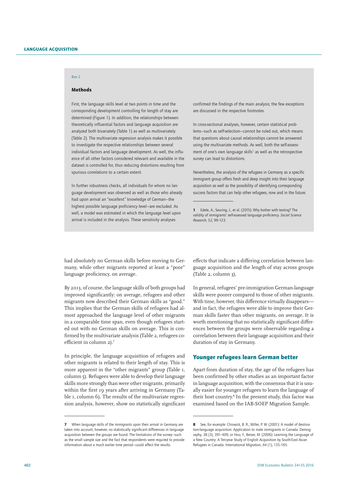## Box 2

## Methods

First, the language skills level at two points in time and the corresponding development controlling for length of stay are determined (Figure 1). In addition, the relationships between theoretically influential factors and language acquisition are analyzed both bivariately (Table 1) as well as multivariately (Table 2). The multivariate regression analysis makes it possible to investigate the respective relationships between several individual factors and language development. As well, the influence of all other factors considered relevant and available in the dataset is controlled for, thus reducing distortions resulting from spurious correlations to a certain extent.

In further robustness checks, all individuals for whom no language development was observed as well as those who already had upon arrival an "excellent" knowledge of German—the highest possible language proficiency level—are excluded. As well, a model was estimated in which the language level upon arrival is included in the analysis. These sensitivity analyses

confirmed the findings of the main analysis; the few exceptions are discussed in the respective footnotes.

In cross-sectional analyses, however, certain statistical problems—such as self-selection—cannot be ruled out, which means that questions about causal relationships cannot be answered using the multivariate methods. As well, both the self-assessment of one's own language skills<sup>1</sup> as well as the retrospective survey can lead to distortions.

Nevertheless, the analysis of the refugees in Germany as a specific immigrant group offers fresh and deep insight into their language acquisition as well as the possibility of identifying corresponding success factors that can help other refugees, now and in the future.

had absolutely no German skills before moving to Germany, while other migrants reported at least a "poor" language proficiency, on average.

By 2013, of course, the language skills of both groups had improved significantly: on average, refugees and other migrants now described their German skills as "good." This implies that the German skills of refugees had almost approached the language level of other migrants in a comparable time span, even though refugees started out with no German skills on average. This is confirmed by the multivariate analysis (Table 2, refugees coefficient in column 2).7

In principle, the language acquisition of refugees and other migrants is related to their length of stay. This is more apparent in the "other migrants" group (Table 1, column 5). Refugees were able to develop their language skills more strongly than were other migrants, primarily within the first 19 years after arriving in Germany (Table 1, column 6). The results of the multivariate regression analysis, however, show no statistically significant effects that indicate a differing correlation between language acquisition and the length of stay across groups (Table 2, column 3).

In general, refugees' pre-immigration German-language skills were poorer compared to those of other migrants. With time, however, this difference virtually disappears and in fact, the refugees were able to improve their German skills faster than other migrants, on average. It is worth mentioning that no statistically significant differences between the groups were observable regarding a correlation between their language acquisition and their duration of stay in Germany.

## Younger refugees learn German better

Apart from duration of stay, the age of the refugees has been confirmed by other studies as an important factor in language acquisition, with the consensus that it is usually easier for younger refugees to learn the language of their host country.<sup>8</sup> In the present study, this factor was examined based on the IAB-SOEP Migration Sample.

<sup>1</sup> Edele, A., Seuring, J., et al. (2015): Why bother with testing? The validity of immigrants' self-assessed language proficiency. *Social Science Research, 52,* 99–123.

<sup>7</sup> When language skills of the immigrants upon their arrival in Germany are taken into account, however, no statistically significant differences in language acquisition between the groups are found. The limitations of the survey—such as the small sample size and the fact that respondents were required to provide information about a much earlier time period—could affect the results.

<sup>8</sup> See, for example: Chiswick, B. R., Miller, P. W. (2001): A model of destination-language acquisition: Application to male immigrants in Canada. Demography, 38 (3), 391–409, or Hou, F., Beiser, M. (2006): Learning the Language of a New Country: A Ten-year Study of English Acquisition by South-East Asian Refugees in Canada. International Migration, 44 (1), 135–165.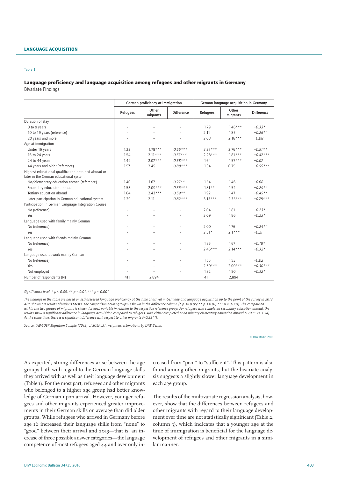#### Language acquisition

#### Table 1

## Language proficiency and language acquisition among refugees and other migrants in Germany

Bivariate Findings

|                                                                                                |          | German proficiency at immigration |                          |           | German language acquisition in Germany |                   |  |  |
|------------------------------------------------------------------------------------------------|----------|-----------------------------------|--------------------------|-----------|----------------------------------------|-------------------|--|--|
|                                                                                                | Refugees | Other<br>migrants                 | <b>Difference</b>        | Refugees  | Other<br>migrants                      | <b>Difference</b> |  |  |
| Duration of stay                                                                               |          |                                   |                          |           |                                        |                   |  |  |
| 0 to 9 years                                                                                   |          |                                   |                          | 1.79      | $1.46***$                              | $-0.33*$          |  |  |
| 10 to 19 years (reference)                                                                     |          |                                   |                          | 2.11      | 1.85                                   | $-0.26**$         |  |  |
| 20 years and more                                                                              |          |                                   |                          | 2.08      | $2.16***$                              | 0.08              |  |  |
| Age at immigration                                                                             |          |                                   |                          |           |                                        |                   |  |  |
| Under 16 years                                                                                 | 1.22     | $1.78***$                         | $0.56***$                | $3.27***$ | $2.76***$                              | $-0.51**$         |  |  |
| 16 to 24 years                                                                                 | 1.54     | $2.11***$                         | $0.57***$                | $2.28***$ | $1.81***$                              | $-0.47***$        |  |  |
| 24 to 44 years                                                                                 | 1.49     | $2.07***$                         | $0.58***$                | 1.64      | $1.57***$                              | $-0.07$           |  |  |
| 44 years and older (reference)                                                                 | 1.57     | 2.45                              | $0.88***$                | 1.34      | 0.75                                   | $-0.59***$        |  |  |
| Highest educational qualification obtained abroad or<br>later in the German educational system |          |                                   |                          |           |                                        |                   |  |  |
| No/elementary education abroad (reference)                                                     | 1.40     | 1.67                              | $0.27**$                 | 1.54      | 1.46                                   | $-0.08$           |  |  |
| Secondary education abroad                                                                     | 1.53     | $2.09***$                         | $0.56***$                | $1.81**$  | 1.52                                   | $-0.29**$         |  |  |
| Tertiary education abroad                                                                      | 1.84     | $2.43***$                         | $0.59**$                 | 1.92      | 1.47                                   | $-0.45**$         |  |  |
| Later participation in German educational system                                               | 1.29     | 2.11                              | $0.82***$                | $3.13***$ | $2.35***$                              | $-0.78***$        |  |  |
| Participation in German Language Integration Course                                            |          |                                   |                          |           |                                        |                   |  |  |
| No (reference)                                                                                 |          |                                   |                          | 2.04      | 1.81                                   | $-0.23*$          |  |  |
| Yes                                                                                            |          |                                   |                          | 2.09      | 1.86                                   | $-0.23*$          |  |  |
| Lanquage used with family mainly German                                                        |          |                                   |                          |           |                                        |                   |  |  |
| No (reference)                                                                                 |          |                                   | $\overline{a}$           | 2.00      | 1.76                                   | $-0.24**$         |  |  |
| Yes                                                                                            |          |                                   |                          | $2.31*$   | $2.1***$                               | $-0.21$           |  |  |
| Language used with friends mainly German                                                       |          |                                   |                          |           |                                        |                   |  |  |
| No (reference)                                                                                 |          |                                   | $\overline{\phantom{0}}$ | 1.85      | 1.67                                   | $-0.18*$          |  |  |
| Yes                                                                                            |          |                                   |                          | $2.46***$ | $2.14***$                              | $-0.32*$          |  |  |
| Language used at work mainly German                                                            |          |                                   |                          |           |                                        |                   |  |  |
| No (reference)                                                                                 |          |                                   | ۰                        | 1.55      | 1.53                                   | $-0.02$           |  |  |
| Yes                                                                                            |          |                                   |                          | $2.30***$ | $2.00***$                              | $-0.30***$        |  |  |
| Not employed                                                                                   |          |                                   |                          | 1.82      | 1.50                                   | $-0.32*$          |  |  |
| Number of respondents (N)                                                                      | 411      | 2,894                             |                          | 411       | 2,894                                  |                   |  |  |

*Significance level: \* p < 0.05, \*\* p < 0.01, \*\*\* p < 0.001.*

*The findings in the table are based on self-assessed language proficiency at the time of arrival in Germany and language acquisition up to the point of the survey in 2013. Also shown are results of various t-tests. The comparison across groups is shown in the difference column (\* p <= 0.05; \*\* p < 0.01; \*\*\* p < 0.001). The comparison*  within the two groups of migrants is shown for each variable in relation to the respective reference group. For refugees who completed secondary education abroad, the *results show a significant difference in language acquisition compared to refugees with either completed or no primary elementary education abroad (1.81\*\* vs. 1.54). At the same time, there is a significant difference with respect to other migrants (−0.29\*\*).*

*Source: IAB-SOEP Migration Sample (2013) of SOEP.v31, weighted; estimations by DIW Berlin.* 

© DIW Berlin 2016

As expected, strong differences arise between the age groups both with regard to the German language skills they arrived with as well as their language development (Table 1). For the most part, refugees and other migrants who belonged to a higher age group had better knowledge of German upon arrival. However, younger refugees and other migrants experienced greater improvements in their German skills on average than did older groups. While refugees who arrived in Germany before age 16 increased their language skills from "none" to "good" between their arrival and 2013—that is, an increase of three possible answer categories—the language competence of most refugees aged 44 and over only increased from "poor" to "sufficient". This pattern is also found among other migrants, but the bivariate analysis suggests a slightly slower language development in each age group.

The results of the multivariate regression analysis, however, show that the differences between refugees and other migrants with regard to their language development over time are not statistically significant (Table 2, column 3), which indicates that a younger age at the time of immigration is beneficial for the language development of refugees and other migrants in a similar manner.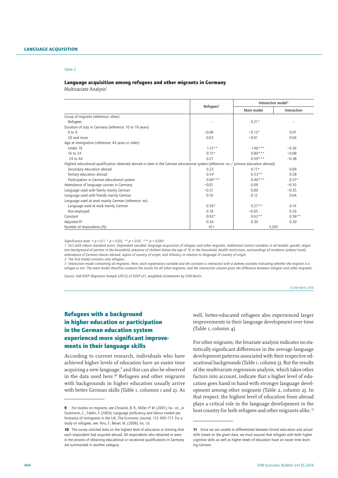#### Language acquisition among refugees and other migrants in Germany

Multivariate Analysis<sup>1</sup>

|                                                                                                                                        |              | Interaction model <sup>3</sup> |             |  |  |
|----------------------------------------------------------------------------------------------------------------------------------------|--------------|--------------------------------|-------------|--|--|
|                                                                                                                                        | $Refu q e q$ | Main model                     | Interaction |  |  |
| Group of migrants (reference: other)                                                                                                   |              |                                |             |  |  |
| Refugees                                                                                                                               |              | $0.21*$                        |             |  |  |
| Duration of stay in Germany (reference: 10 to 19 years)                                                                                |              |                                |             |  |  |
| $0$ to $9$                                                                                                                             | $-0.06$      | $-0.13*$                       | 0.07        |  |  |
| 20 and more                                                                                                                            | 0.03         | $-0.01$                        | 0.04        |  |  |
| Age at immigration (reference: 44 years or older)                                                                                      |              |                                |             |  |  |
| Under 16                                                                                                                               | $1.15**$     | $1.46***$                      | $-0.36$     |  |  |
| 16 to 24                                                                                                                               | $0.75*$      | $0.80***$                      | $-0.08$     |  |  |
| 24 to 44                                                                                                                               | 0.27         | $0.59***$                      | $-0.38$     |  |  |
| Highest educational qualification obtained abroad or later in the German educational system (reference: no / primary education abroad) |              |                                |             |  |  |
| Secondary education abroad                                                                                                             | 0.23         | $0.17*$                        | 0.09        |  |  |
| Tertiary education abroad                                                                                                              | $0.54^{+}$   | $0.33**$                       | 0.28        |  |  |
| Participation in German educational system                                                                                             | $0.90***$    | $0.40***$                      | $0.57*$     |  |  |
| Attendance of language courses in Germany                                                                                              | $-0.01$      | 0.09                           | $-0.10$     |  |  |
| Language used with family mainly German                                                                                                | $-0.31$      | 0.00                           | $-0.35$     |  |  |
| Language used with friends mainly German                                                                                               | 0.16         | 0.12                           | 0.04        |  |  |
| Language used at work mainly German (reference: no)                                                                                    |              |                                |             |  |  |
| Language used at work mainly German                                                                                                    | $0.39*$      | $0.27**$                       | 0.14        |  |  |
| Not employed                                                                                                                           | 0.18         | $-0.05$                        | 0.26        |  |  |
| Constant                                                                                                                               | $0.93*$      | $0.62**$                       | $0.58**$    |  |  |
| Adjusted R <sup>2</sup>                                                                                                                | 0.34         | 0.30                           | 0.30        |  |  |
| Number of respondents (N)                                                                                                              | 411          | 3,305                          |             |  |  |

*Significance level: + p < 0.1, \* p < 0.05, \*\* p < 0.01, \*\*\* p < 0.001.*

*1 OLS with robust standard errors. Dependent variable: language acquisition of refugees and other migrants. Additional control variables in all models: gender, migra*tion background of partner in the household, presence of children below the age of 16 in the household, health restrictions, surroundings of residence (urban/rural), *attendance of German classes abroad, region of country of origin, and illiteracy in relation to language of country of origin.*

*2 The first model contains only refugees.*

*3 Interaction model containing all migrants. Here, each explanatory variable and the constant is interacted with a dummy variable indicating whether the migrant is a refugee or not. The main model therefore contains the results for all other migrants, and the interaction column gives the difference between refugees and other migrants.*

*Source: IAB-SOEP Migration Sample (2013) of SOEP.v31, weighted; estimations by DIW Berlin.* 

#### © DIW Berlin 2016

## Refugees with a background in higher education or participation in the German education system experienced more significant improvements in their language skills

According to current research, individuals who have achieved higher levels of education have an easier time acquiring a new language,<sup>9</sup> and this can also be observed in the data used here.<sup>10</sup> Refugees and other migrants with backgrounds in higher education usually arrive with better German skills (Table 1, columns 1 and 2). As

well, better-educated refugees also experienced larger improvements in their language development over time (Table 1, column 4).

For other migrants, the bivariate analysis indicates no statistically significant differences in the average language development patterns associated with their respective educational backgrounds (Table 1, column 5). But the results of the multivariate regression analysis, which takes other factors into account, indicate that a higher level of education goes hand in hand with stronger language development among other migrants (Table 2, column 2). In that respect, the highest level of education from abroad plays a critical role in the language development in the host country for both refugees and other migrants alike.<sup>11</sup>

<sup>9</sup> For studies on migrants, see Chiswick, B. R., Miller, P. W. (2001), loc. cit., or Dustmann, C., Fabbri, F. (2003): Language proficiency and labour market performance of immigrants in the UK. The Economic Journal, 113: 695–717. For a study on refugees, see: Hou, F., Beiser, M. (2006), loc. cit.

<sup>10</sup> The survey solicited data on the highest level of education or training that each respondent had acquired abroad. All respondents who obtained or were in the process of obtaining educational or vocational qualifications in Germany are summarized in another category.

<sup>11</sup> Since we are unable to differentiate between formal education and actual skills based on the given data, we must assume that refugees with both higher cognitive skills as well as higher levels of education have an easier time learning German.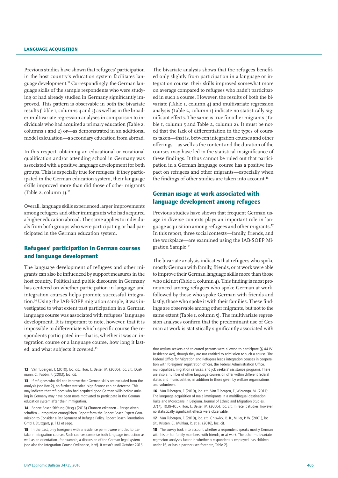Previous studies have shown that refugees' participation in the host country's education system facilitates language development.12 Correspondingly, the German language skills of the sample respondents who were studying or had already studied in Germany significantly improved. This pattern is observable in both the bivariate results (Table 1, columns 4 and 5) as well as in the broader multivariate regression analyses in comparison to individuals who had acquired a primary education (Table 2, columns 1 and 2) or—as demonstrated in an additional model calculation—a secondary education from abroad.

In this respect, obtaining an educational or vocational qualification and/or attending school in Germany was associated with a positive language development for both groups. This is especially true for refugees: if they participated in the German education system, their language skills improved more than did those of other migrants (Table 2, column 3). $^{13}$ 

Overall, language skills experienced larger improvements among refugees and other immigrants who had acquired a higher education abroad. The same applies to individuals from both groups who were participating or had participated in the German education system.

## Refugees' participation in German courses and language development

The language development of refugees and other migrants can also be influenced by support measures in the host country. Political and public discourse in Germany has centered on whether participation in language and integration courses helps promote successful integration.14 Using the IAB-SOEP migration sample, it was investigated to what extent past participation in a German language course was associated with refugees' language development. It is important to note, however, that it is impossible to differentiate which specific course the respondents participated in—that is, whether it was an integration course or a language course, how long it lasted, and what subjects it covered.15

The bivariate analysis shows that the refugees benefited only slightly from participation in a language or integration course: their skills improved somewhat more on average compared to refugees who hadn't participated in such a course. However, the results of both the bivariate (Table 1, column 4) and multivariate regression analysis (Table 2, column 1) indicate no statistically significant effects. The same is true for other migrants (Table 1, column 5 and Table 2, column 2). It must be noted that the lack of differentiation in the types of courses taken—that is, between integration courses and other offerings—as well as the content and the duration of the courses may have led to the statistical insignificance of these findings. It thus cannot be ruled out that participation in a German language course has a positive impact on refugees and other migrants—especially when the findings of other studies are taken into account.<sup>16</sup>

## German usage at work associated with language development among refugees

Previous studies have shown that frequent German usage in diverse contexts plays an important role in language acquisition among refugees and other migrants.17 In this report, three social contexts—family, friends, and the workplace—are examined using the IAB-SOEP Migration Sample.<sup>18</sup>

The bivariate analysis indicates that refugees who spoke mostly German with family, friends, or at work were able to improve their German language skills more than those who did not (Table 1, column 4). This finding is most pronounced among refugees who spoke German at work, followed by those who spoke German with friends and lastly, those who spoke it with their families. These findings are observable among other migrants, but not to the same extent (Table 1, column 5). The multivariate regression analyses confirm that the predominant use of German at work is statistically significantly associated with

<sup>12</sup> Van Tubergen, F. (2010), loc. cit., Hou, F., Beiser, M. (2006), loc. cit., Dustmann, C., Fabbri, F. (2003), loc. cit.

<sup>13</sup> If refugees who did not improve their German skills are excluded from the analysis (see Box 2), no further statistical significance can be detected. This may indicate that refugees who had acquired good German skills before arriving in Germany may have been more motivated to participate in the German education system after their immigration.

<sup>14</sup> Robert Bosch Stiftung (Hrsg.) (2016) Chancen erkennen – Perspektiven schaffen – Integration ermöglichen. Report form the Robert Bosch Expert Commission to Consider a Realignment of Refugee Policy. Robert Bosch Foundation GmbH, Stuttgart, p. 113 et seqq.

<sup>15</sup> In the past, only foreigners with a residence permit were entitled to partake in integration courses. Such courses comprise both language instruction as well as an orientation—for example, a discussion of the German legal system (see also the Integration Course Ordinance, IntV). It wasn't until October 2015

that asylum seekers and tolerated persons were allowed to participate (§ 44 IV Residence Act), though they are not entitled to admission to such a course. The Federal Office for Migration and Refugees leads integration courses in cooperation with foreigners' registration offices, the Federal Administration Office, municipalities, migration services, and job seekers' assistance programs. There are also a number of other language courses on offer within different federal states and municipalities, in addition to those given by welfare organizations and volunteers.

<sup>16</sup> Van Tubergen, F. (2010), loc. cit., Van Tubergen, F., Wierenga, M. (2011): The language acquisition of male immigrants in a multilingual destination: Turks and Moroccans in Belgium. Journal of Ethnic and Migration Studies, 37(7), 1039–1057, Hou, F., Beiser, M. (2006), loc. cit. In recent studies, however, no statistically significant effects were observable.

<sup>17</sup> Van Tubergen, F. (2010), loc. cit., Chiswick, B. R., Miller, P. W. (2001), loc. cit., Kristen, C., Mühlau, P., et al. (2016), loc. cit.

<sup>18</sup> The survey took into account whether a respondent speaks mostly German with his or her family members, with friends, or at work. The other multivariate regression analyses factor in whether a respondent is employed, has children under 16, or has a partner (see footnote, Table 2).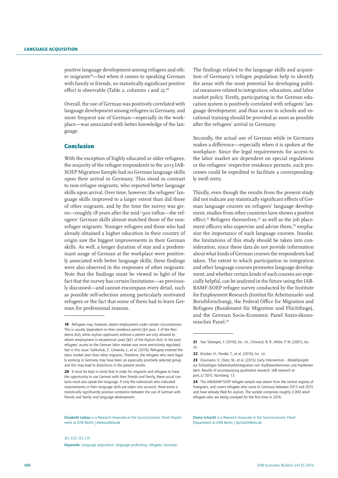positive language development among refugees and other migrants<sup>19</sup>—but when it comes to speaking German with family or friends, no statistically significant positive effect is observable (Table 2, columns 1 and 2).<sup>20</sup>

Overall, the use of German was positively correlated with language development among refugees in Germany, and more frequent use of German—especially in the workplace—was associated with better knowledge of the language.

## Conclusion

With the exception of highly educated or older refugees, the majority of the refugee respondents to the 2013 IAB-SOEP Migration Sample had no German language skills upon their arrival in Germany. This stood in contrast to non-refugee migrants, who reported better language skills upon arrival. Over time, however, the refugees' language skills improved to a larger extent than did those of other migrants, and by the time the survey was given—roughly 18 years after the mid-'90s influx—the refugees' German skills almost matched those of the nonrefugee migrants. Younger refugees and those who had already obtained a higher education in their country of origin saw the biggest improvements in their German skills. As well, a longer duration of stay and a predominant usage of German at the workplace were positively associated with better language skills; these findings were also observed in the responses of other migrants. Note that the findings must be viewed in light of the fact that the survey has certain limitations—as previously discussed—and cannot encompass every detail, such as possible self-selection among particularly motivated refugees or the fact that some of them had to learn German for professional reasons.

Elisabeth Liebau is a Research Associate in the Socio-Economic Panel Department at DIW Berlin | eliebau@diw.de

The findings related to the language skills and acquisition of Germany's refugee population help to identify the areas with the most potential for developing political measures related to integration, education, and labor market policy. Firstly, participating in the German education system is positively correlated with refugees' language development, and thus access to schools and vocational training should be provided as soon as possible after the refugees' arrival in Germany.

Secondly, the actual use of German while in Germany makes a difference—especially when it is spoken at the workplace. Since the legal requirements for access to the labor market are dependent on special regulations or the refugees' respective residence permits, such processes could be expedited to facilitate a correspondingly swift entry.

Thirdly, even though the results from the present study did not indicate any statistically significant effects of German language courses on refugees' language development, studies from other countries have shown a positive effect.<sup>21</sup> Refugees themselves,<sup>22</sup> as well as the job placement officers who supervise and advise them.<sup>23</sup> emphasize the importance of such language courses. Insofar, the limitations of this study should be taken into consideration, since these data do not provide information about what kinds of German courses the respondents had taken. The extent to which participation in integration and other language courses promotes language development, and whether certain kinds of such courses are especially helpful, can be analyzed in the future using the IAB-BAMF-SOEP refugee survey conducted by the Institute for Employment Research (Institut für Arbeitsmarkt- und Berufsforschung), the Federal Office for Migration and Refugees (Bundesamt für Migration und Flüchtlinge), and the German Socio-Economic Panel Sozio-ökonomisches Panel.24

Diana Schacht is a Research Associate in the Socio-Economic Panel Department at DIW Berlin | dschacht@diw.de

<sup>19</sup> Refugees may, however, obtain employment under certain circumstances. This is usually dependent on their residence permit (§4 para. 3 of the Residence Act), while asylum applicants without a permit are only allowed to obtain employment in exceptional cases (§61 of the Asylum Act). In the past, refugees' access to the German labor market was more restrictively regulated. See in this issue: Salikutluk, Z., Giesecke, J., et al. (2016): Refugees entered the labor market later than other migrants. Therefore, the refugees who were legally working in Germany may have been an especially positively selected group, and this may lead to distortions in the present results.

<sup>20</sup> It must be kept in mind that in order for migrants and refugees to have the opportunity to use German with their friends and family, these social contacts must also speak the language. If only the individuals who indicated improvements in their language skills are taken into account, there exists a statistically significantly positive correlation between the use of German with friends and family and language development.

<sup>21</sup> Van Tubergen, F. (2010), loc. cit., Chiswick, B. R., Miller, P. W. (2001), loc. cit.

<sup>22</sup> Brücker, H., Fendel, T., et al. (2016), loc. cit.

<sup>23</sup> Daumann, V., Dietz, M., et al. (2015): Early Intervention – Modellprojekt zur frühzeitigen Arbeitsmarktintegration von Asylbewerberinnen und Asylbewerbern. Results of accompanying qualitative research. IAB research report,3/2015, Nürnberg: 13.

<sup>24</sup> The IAB-BAMF-SOEP refugee sample was drawn from the central registry of foreigners, and covers refugees who came to Germany between 2013 and 2015 and have already filed for asylum. The sample comprises roughly 2,000 adult refugees who are being surveyed for the first time in 2016.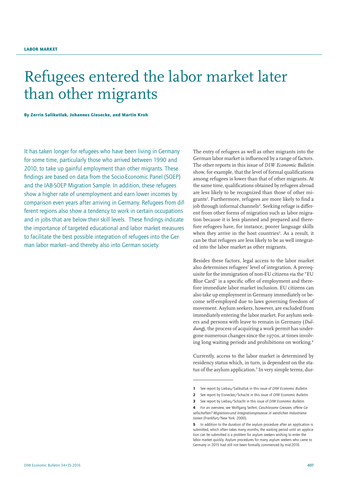## Refugees entered the labor market later than other migrants

By Zerrin Salikutluk, Johannes Giesecke, and Martin Kroh

It has taken longer for refugees who have been living in Germany for some time, particularly those who arrived between 1990 and 2010, to take up gainful employment than other migrants. These findings are based on data from the Socio-Economic Panel (SOEP) and the IAB-SOEP Migration Sample. In addition, these refugees show a higher rate of unemployment and earn lower incomes by comparison even years after arriving in Germany. Refugees from different regions also show a tendency to work in certain occupations and in jobs that are below their skill levels. These findings indicate the importance of targeted educational and labor market measures to facilitate the best possible integration of refugees into the German labor market—and thereby also into German society.

The entry of refugees as well as other migrants into the German labor market is influenced by a range of factors. The other reports in this issue of *DIW Economic Bulletin* show, for example, that the level of formal qualifications among refugees is lower than that of other migrants. At the same time, qualifications obtained by refugees abroad are less likely to be recognized than those of other migrants<sup>1</sup>. Furthermore, refugees are more likely to find a job through informal channels<sup>2</sup>. Seeking refuge is different from other forms of migration such as labor migration because it is less planned and prepared and therefore refugees have, for instance, poorer language skills when they arrive in the host countries<sup>3</sup>. As a result, it can be that refugees are less likely to be as well integrated into the labor market as other migrants.

Besides these factors, legal access to the labor market also determines refugees' level of integration. A prerequisite for the immigration of non-EU citizens via the "EU Blue Card" is a specific offer of employment and therefore immediate labor market inclusion. EU citizens can also take up employment in Germany immediately or become self-employed due to laws governing freedom of movement. Asylum seekers, however, are excluded from immediately entering the labor market. For asylum seekers and persons with leave to remain in Germany (*Duldung*), the process of acquiring a work permit has undergone numerous changes since the 1970s, at times involving long waiting periods and prohibitions on working.4

Currently, access to the labor market is determined by residency status which, in turn, is dependent on the status of the asylum application.<sup>5</sup> In very simple terms, dur-

<sup>1</sup> See report by Liebau/Salikutluk in this issue of *DIW Economic Bulletin.*

<sup>2</sup> See report by Eisnecker/Schacht in this issue of *DIW Economic Bulletin.*

<sup>3</sup> See report by Liebau/Schacht in this issue of *DIW Economic Bulletin.*

<sup>4</sup> For an overview, see Wolfgang Seifert, *Geschlossene Grenzen, offene Gesellschaften? Migrations-und Integrationsprozesse in westlichen Industrienationen* (Frankfurt/New York: 2000).

<sup>5</sup> In addition to the duration of the asylum procedure after an application is submitted, which often takes many months, the waiting period until an application can be submitted is a problem for asylum seekers wishing to enter the labor market quickly. Asylum procedures for many asylum seekers who came to Germany in 2015 had still not been formally commenced by mid-2016.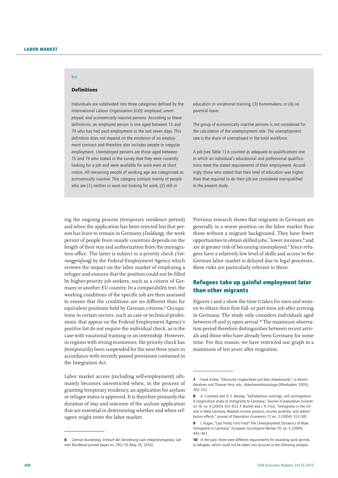#### Definitions

Box

Individuals are subdivided into three categories defined by the International Labour Organization (ILO): *employed, unemployed, and economically inactive persons*. According to these definitions, an employed person is one aged between 15 and 74 who has had paid employment in the last seven days. This definition does not depend on the existence of an employment contract and therefore also includes people in irregular employment. Unemployed persons are those aged between 15 and 74 who stated in the survey that they were currently looking for a job and were available for work even at short notice. All remaining people of working age are categorized as economically inactive. This category consists mainly of people who are (1) neither in work nor looking for work, (2) still in

education or vocational training, (3) homemakers, or (4) on parental leave.

The group of economically inactive persons is not considered for the calculation of the *unemployment rate*. The unemployment rate is the share of unemployed in the total workforce.

A job (see Table 1) is counted as *adequate to qualifications* one in which an individual's educational and professional qualifications meet the stated requirements of their employment. Accordingly, those who stated that their level of education was higher than that required to do their job are considered over-qualified in the present study.

ing the ongoing process (temporary residence permit) and when the application has been rejected but that person has leave to remain in Germany (*Duldung*), the work permit of people from unsafe countries depends on the length of their stay and authorization from the immigration office. The latter is subject to a priority check (*Vorrangprüfung*) by the Federal Employment Agency which reviews the impact on the labor market of employing a refugee and ensures that the position could not be filled by higher-priority job seekers, such as a citizen of Germany or another EU country. In a comparability test, the working conditions of the specific job are then assessed to ensure that the conditions are no different than for equivalent positions held by German citizens.<sup>6</sup> Occupations in certain sectors, such as care or technical professions, that appear on the Federal Employment Agency's positive list do not require the individual check, as is the case with vocational training or an internship. However, in regions with strong economies, the priority check has (temporarily) been suspended for the next three years in accordance with recently passed provisions contained in the Integration Act.

Labor market access (including self-employment) ultimately becomes unrestricted when, in the process of granting temporary residency, an application for asylum or refugee status is approved. It is therefore primarily the duration of stay and outcome of the asylum application that are essential in determining whether and when refugees might enter the labor market.

Previous research shows that migrants in Germany are generally in a worse position on the labor market than those without a migrant background. They have fewer opportunities to obtain skilled jobs,<sup>7</sup> lower incomes,<sup>8</sup> and are at greater risk of becoming unemployed.<sup>9</sup> Since refugees have a relatively low level of skills and access to the German labor market is delayed due to legal processes, these risks are particularly relevant to them.

## Refugees take up gainful employment later than other migrants

Figures 1 and 2 show the time it takes for men and women to obtain their first full- or part-time job after arriving in Germany. The study only considers individuals aged between 18 and 55 upon arrival.<sup>10</sup> The maximum observation period therefore distinguishes between recent arrivals and those who have already been Germany for some time. For this reason, we have restricted our graph to a maximum of ten years after migration.

<sup>6</sup> German Bundestag, *Entwurf der Verordnung zum Integrationsgesetz*, German Bundesrat printed paper no. 285/16 (May 26, 2016).

<sup>7</sup> Frank Kalter, "Ethnische Ungleichheit auf dem Arbeitsmarkt," in Martin Abraham and Thomas Hinz, eds., *Arbeitsmarktsoziologie* (Wiesbaden: 2005), 303–332.

<sup>8</sup> A. Constant and D. S. Massey, "Self-selection, earnings, and out-migration: A longitudinal study of immigrants to Germany," *Journal of population Economics* 16, no. 4 (2003): 631–653; F. Büchel and J. R. Frick, "Immigrants in the UK and in West Germany–Relative income position, income portfolio, and redistribution effects," *Journal of Population Economics* 17, no. 3 (2004): 553–581.

<sup>9</sup> I. Kogan, "Last Hired, First Fired? The Unemployment Dynamics of Male Immigrants in Germany," *European Sociological Review* 20, no. 5 (2004): 445–461.

<sup>10</sup> In the past, there were different requirements for awarding work permits to refugees, which could not be taken into account in the following analysis.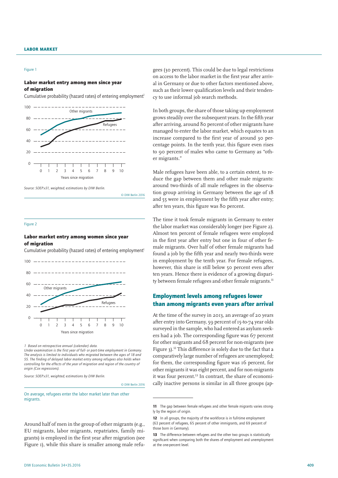#### Figure 1

#### Labor market entry among men since year of migration

Cumulative probability (hazard rates) of entering employment<sup>1</sup>





© DIW Berlin 2016

#### Figure 2

#### Labor market entry among women since year of migration

Cumulative probability (hazard rates) of entering employment<sup>1</sup>



*1 Based on retrospective annual (calendar) data.*

*Under examination is the first year of full- or part-time employment in Germany. The analysis is limited to individuals who migrated between the ages of 18 and 55. The finding of delayed labor market entry among refugees also holds when controlling for the effects of the year of migration and region of the country of origin (Cox regressions).*

*Source: SOEP.v31, weighted; estimations by DIW Berlin.*

© DIW Berlin 2016

On average, refugees enter the labor market later than other migrants

Around half of men in the group of other migrants (e.g., EU migrants, labor migrants, repatriates, family migrants) is employed in the first year after migration (see Figure 1), while this share is smaller among male refu-

gees (30 percent). This could be due to legal restrictions on access to the labor market in the first year after arrival in Germany or due to other factors mentioned above, such as their lower qualification levels and their tendency to use informal job search methods.

In both groups, the share of those taking up employment grows steadily over the subsequent years. In the fifth year after arriving, around 80 percent of other migrants have managed to enter the labor market, which equates to an increase compared to the first year of around 30 percentage points. In the tenth year, this figure even rises to 90 percent of males who came to Germany as "other migrants."

Male refugees have been able, to a certain extent, to reduce the gap between them and other male migrants: around two-thirds of all male refugees in the observation group arriving in Germany between the age of 18 and 55 were in employment by the fifth year after entry; after ten years, this figure was 80 percent.

The time it took female migrants in Germany to enter the labor market was considerably longer (see Figure 2). Almost ten percent of female refugees were employed in the first year after entry but one in four of other female migrants. Over half of other female migrants had found a job by the fifth year and nearly two-thirds were in employment by the tenth year. For female refugees, however, this share is still below 50 percent even after ten years. Hence there is evidence of a growing disparity between female refugees and other female migrants.<sup>11</sup>

## Employment levels among refugees lower than among migrants even years after arrival

At the time of the survey in 2013, an average of 20 years after entry into Germany, 59 percent of 15-to-74 year olds surveyed in the sample, who had entered as asylum seekers had a job. The corresponding figure was 67 percent for other migrants and 68 percent for non-migrants (see Figure 3).12 This difference is solely due to the fact that a comparatively large number of refugees are unemployed; for them, the corresponding figure was 16 percent, for other migrants it was eight percent, and for non-migrants it was four percent.<sup>13</sup> In contrast, the share of economically inactive persons is similar in all three groups (ap-

<sup>11</sup> The gap between female refugees and other female migrants varies strongly by the region of oriain.

<sup>12</sup> In all groups, the majority of the workforce is in full-time employment (63 percent of refugees, 65 percent of other immigrants, and 69 percent of those born in Germany).

<sup>13</sup> The difference between refugees and the other two groups is statistically significant when comparing both the shares of employment and unemployment at the one-percent level.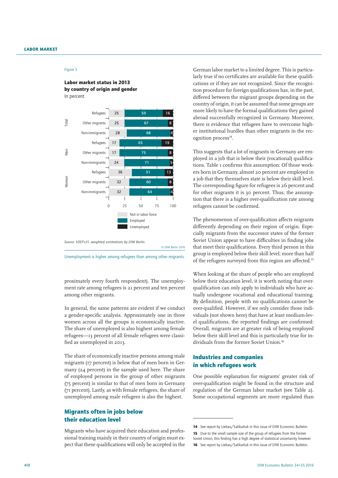#### Figure 3

#### Labor market status in 2013 by country of origin and gender In percent



*Source: SOEP.v31, weighted; estimations by DIW Berlin.*  © DIW Berlin 2016

Unemployment is higher among refugees than among other migrants.

proximately every fourth respondent). The unemployment rate among refugees is 21 percent and ten percent among other migrants.

In general, the same patterns are evident if we conduct a gender-specific analysis. Approximately one in three women across all the groups is economically inactive. The share of unemployed is also highest among female refugees—13 percent of all female refugees were classified as unemployed in 2013.

The share of economically inactive persons among male migrants (17 percent) is below that of men born in Germany (24 percent) in the sample used here. The share of employed persons in the group of other migrants (75 percent) is similar to that of men born in Germany (71 percent). Lastly, as with female refugees, the share of unemployed among male refugees is also the highest.

## Migrants often in jobs below their education level

Migrants who have acquired their education and professional training mainly in their country of origin must expect that these qualifications will only be accepted in the

German labor market to a limited degree. This is particularly true if no certificates are available for these qualifications or if they are not recognized. Since the recognition procedure for foreign qualifications has, in the past, differed between the migrant groups depending on the country of origin, it can be assumed that some groups are more likely to have the formal qualifications they gained abroad successfully recognized in Germany. Moreover, there is evidence that refugees have to overcome higher institutional hurdles than other migrants in the recognition process<sup>14</sup>.

This suggests that a lot of migrants in Germany are employed in a job that is below their (vocational) qualifications. Table 1 confirms this assumption: Of those workers born in Germany, almost 20 percent are employed in a job that they themselves state is below their skill level. The corresponding figure for refugees is 26 percent and for other migrants it is 30 percent. Thus, the assumption that there is a higher over-qualification rate among refugees cannot be confirmed.

The phenomenon of over-qualification affects migrants differently depending on their region of origin. Especially migrants from the successor states of the former Soviet Union appear to have difficulties in finding jobs that meet their qualifications. Every third person in this group is employed below their skill level; more than half of the refugees surveyed from this region are affected.15

When looking at the share of people who are employed below their education level, it is worth noting that overqualification can only apply to individuals who have actually undergone vocational and educational training. By definition, people with no qualifications cannot be over-qualified. However, if we only consider those individuals (not shown here) that have at least medium-level qualifications, the reported findings are confirmed: Overall, migrants are at greater risk of being employed below their skill level and this is particularly true for individuals from the former Soviet Union.16

## Industries and companies in which refugees work

One possible explanation for migrants' greater risk of over-qualification might be found in the structure and regulation of the German labor market (see Table 2). Some occupational segments are more regulated than

<sup>14</sup> See report by Liebau/Salikutluk in this issue of DIW Economic Bulletin. 15 Due to the small sample size of the group of refugees from the former Soviet Union, this finding has a high degree of statistical uncertainty however. 16 See report by Liebau/Salikutluk in this issue of DIW Economic Bulletin.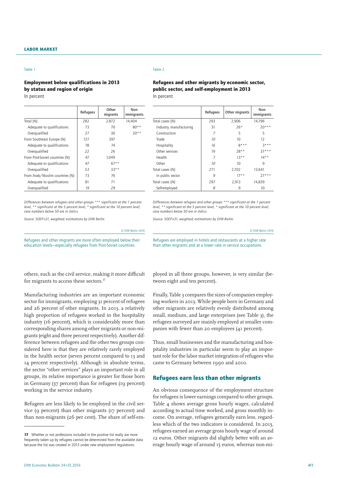### Employment below qualifications in 2013 by status and region of origin In percent

|                                | Refugees | Other<br>migrants | Non-<br>immigrants |
|--------------------------------|----------|-------------------|--------------------|
| Total (N)                      | 282      | 2,872             | 14.404             |
| Adequate to qualifications     | 73       | 70                | $80**$             |
| Overgualified                  | 27       | 30                | $20**$             |
| From Southeast Europe (N)      | 127      | 397               |                    |
| Adequate to qualifications     | 78       | 74                |                    |
| Overqualified                  | 22       | 26                |                    |
| From Post-Soviet countries (N) | 47       | 1.049             |                    |
| Adequate to qualifications     | 47       | $67**$            |                    |
| Overqualified                  | 53       | $33**$            |                    |
| From Arab/Muslim countries (N) | 73       | 76                |                    |
| Adequate to qualifications     | 81       | 71                |                    |
| Overgualified                  | 19       | 29                |                    |

*Differences between refugees and other groups \*\*\* significant at the 1 percent level, \*\* significant at the 5 percent level, \* significant at the 10 percent level; case numbers below 50 are in italics.* 

*Source: SOEP.v31, weighted; estimations by DIW Berlin.*

Table 2

#### Refugees and other migrants by economic sector, public sector, and self-employment in 2013 In percent

|                         | Other migrants<br>Refugees |        | Non-<br>immigrants |
|-------------------------|----------------------------|--------|--------------------|
| Total cases (N)         | 293                        | 2,906  | 14,796             |
| Industry, manufacturing | 31                         | $26*$  | $20***$            |
| Construction            | 7                          | 5      | 5                  |
| Trade                   | 10                         | 10     | $12^{12}$          |
| Hospitality             | 16                         | $8***$ | $7***$             |
| Other services          | 19                         | $78**$ | $37***$            |
| Health                  | 7                          | $13**$ | $14**$             |
| Other                   | 10                         | 10     | 9                  |
| Total cases (N)         | 271                        | 2,702  | 13,641             |
| In public sector        | 9                          | $17**$ | $77***$            |
| Total cases (N)         | 297                        | 2,913  | 14,839             |
| Self-employed           | 8                          | 9      | 10                 |

*Differences between refugees and other groups \*\*\* significant at the 1 percent level, \*\* significant at the 5 percent level, \* significant at the 10 percent level; case numbers below 50 are in italics.* 

Refugees are employed in hotels and restaurants at a higher rate than other migrants and at a lower rate in service occupations.

© DIW Berlin 2016

*Source: SOEP.v31, weighted; estimations by DIW Berlin.*

Refugees and other migrants are more often employed below their education levels—especially refugees from Post-Soviet countries.

© DIW Berlin 2016

others, such as the civil service, making it more difficult for migrants to access these sectors.<sup>17</sup>

Manufacturing industries are an important economic sector for immigrants, employing 31 percent of refugees and 26 percent of other migrants. In 2013, a relatively high proportion of refugees worked in the hospitality industry (16 percent), which is considerably more than corresponding shares among other migrants or non-migrants (eight and three percent respectively). Another difference between refugees and the other two groups considered here is that they are relatively rarely employed in the health sector (seven percent compared to 13 and 14 percent respectively). Although in absolute terms, the sector "other services" plays an important role in all groups, its relative importance is greater for those born in Germany (37 percent) than for refugees (19 percent) working in the service industry.

Refugees are less likely to be employed in the civil service (9 percent) than other migrants (17 percent) and than non-migrants (26 per cent). The share of self-employed in all three groups, however, is very similar (between eight and ten percent).

Finally, Table 3 compares the sizes of companies employing workers in 2013. While people born in Germany and other migrants are relatively evenly distributed among small, medium, and large enterprises (see Table 3), the refugees surveyed are mainly employed at smaller companies with fewer than 20 employees (41 percent).

Thus, small businesses and the manufacturing and hospitality industries in particular seem to play an important role for the labor market integration of refugees who came to Germany between 1990 and 2010.

### Refugees earn less than other migrants

An obvious consequence of the employment structure for refugees is lower earnings compared to other groups. Table 4 shows average gross hourly wages, calculated according to actual time worked, and gross monthly income. On average, refugees generally earn less, regardless which of the two indicators is considered. In 2013, refugees earned an average gross hourly wage of around 12 euros. Other migrants did slightly better with an average hourly wage of around 15 euros, whereas non-mi-

<sup>17</sup> Whether or not professions included in the positive list really are more frequently taken up by refugees cannot be determined from the available data because the list was created in 2013 under new employment regulations.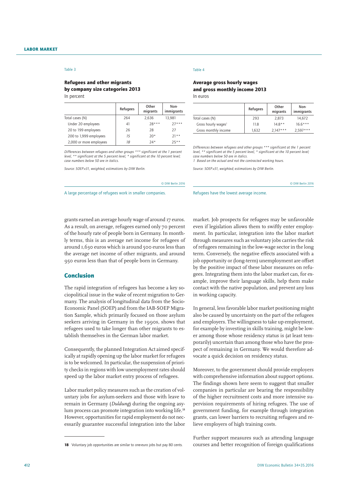#### Refugees and other migrants by company size categories 2013 In percent

|                         | Refugees | Other<br>migrants | Non-<br>immigrants |  |
|-------------------------|----------|-------------------|--------------------|--|
| Total cases (N)         | 264      | 2,636             | 13,981             |  |
| Under 20 employees      | 41       | $28***$           | $77***$            |  |
| 20 to 199 employees     | 26       | 28                | 27                 |  |
| 200 to 1,999 employees  | 15       | $20*$             | $21**$             |  |
| 2,000 or more employees | 18       | $24*$             | $25**$             |  |

*Differences between refugees and other groups \*\*\* significant at the 1 percent level, \*\* significant at the 5 percent level, \* significant at the 10 percent level; case numbers below 50 are in italics.* 

*Source: SOEP.v31, weighted; estimations by DIW Berlin.* 

#### Table 4

#### Average gross hourly wages and gross monthly income 2013 In euros

|                                 | Refugees | Other<br>migrants | Non-<br>immigrants |  |
|---------------------------------|----------|-------------------|--------------------|--|
| Total cases (N)                 | 293      | 2,873             | 14.672             |  |
| Gross hourly wages <sup>1</sup> | 11.8     | $14.8**$          | $16.6***$          |  |
| Gross monthly income            | 1.632    | $2,147***$        | $2,597***$         |  |

*Differences between refugees and other groups \*\*\* significant at the 1 percent level, \*\* significant at the 5 percent level, \* significant at the 10 percent level; case numbers below 50 are in italics.*

*1 Based on the actual and not the contracted working hours.*

*Source: SOEP.v31, weighted; estimations by DIW Berlin.* 

© DIW Berlin 2016

A large percentage of refugees work in smaller companies.

Refugees have the lowest average income.

grants earned an average hourly wage of around 17 euros. As a result, on average, refugees earned only 70 percent of the hourly rate of people born in Germany. In monthly terms, this is an average net income for refugees of around 1,630 euros which is around 500 euros less than the average net income of other migrants, and around 950 euros less than that of people born in Germany.

#### Conclusion

The rapid integration of refugees has become a key sociopolitical issue in the wake of recent migration to Germany. The analysis of longitudinal data from the Socio-Economic Panel (SOEP) and from the IAB-SOEP Migration Sample, which primarily focused on those asylum seekers arriving in Germany in the 1990s, shows that refugees used to take longer than other migrants to establish themselves in the German labor market.

Consequently, the planned Integration Act aimed specifically at rapidly opening up the labor market for refugees is to be welcomed. In particular, the suspension of priority checks in regions with low unemployment rates should speed up the labor market entry process of refugees.

Labor market policy measures such as the creation of voluntary jobs for asylum-seekers and those with leave to remain in Germany (*Duldung*) during the ongoing asylum process can promote integration into working life.18 However, opportunities for rapid employment do not necessarily guarantee successful integration into the labor

market. Job prospects for refugees may be unfavorable even if legislation allows them to swiftly enter employment. In particular, integration into the labor market through measures such as voluntary jobs carries the risk of refugees remaining in the low-wage sector in the long term. Conversely, the negative effects associated with a job opportunity or (long-term) unemployment are offset by the positive impact of these labor measures on refugees. Integrating them into the labor market can, for example, improve their language skills, help them make contact with the native population, and prevent any loss in working capacity.

In general, less favorable labor market positioning might also be caused by uncertainty on the part of the refugees and employers. The willingness to take up employment, for example by investing in skills training, might be lower among those whose residency status is (at least temporarily) uncertain than among those who have the prospect of remaining in Germany. We would therefore advocate a quick decision on residency status.

Moreover, to the government should provide employers with comprehensive information about support options. The findings shown here seem to suggest that smaller companies in particular are bearing the responsibility of the higher recruitment costs and more intensive supervision requirements of hiring refugees. The use of government funding, for example through integration grants, can lower barriers to recruiting refugees and relieve employers of high training costs.

Further support measures such as attending language courses and better recognition of foreign qualifications

<sup>18</sup> Voluntary job opportunities are similar to one-euro jobs but pay 80 cents.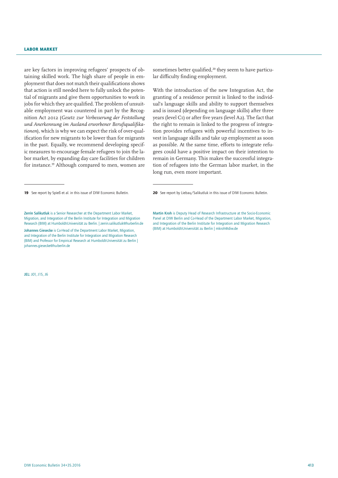#### Labor market

are key factors in improving refugees' prospects of obtaining skilled work. The high share of people in employment that does not match their qualifications shows that action is still needed here to fully unlock the potential of migrants and give them opportunities to work in jobs for which they are qualified. The problem of unsuitable employment was countered in part by the Recognition Act 2012 (*Gesetz zur Verbesserung der Feststellung und Anerkennung im Ausland erworbener Berufsqualifikationen*), which is why we can expect the risk of over-qualification for new migrants to be lower than for migrants in the past. Equally, we recommend developing specific measures to encourage female refugees to join the labor market, by expanding day care facilities for children for instance.19 Although compared to men, women are

JEL: J01, J15, J6

sometimes better qualified,<sup>20</sup> they seem to have particular difficulty finding employment.

With the introduction of the new Integration Act, the granting of a residence permit is linked to the individual's language skills and ability to support themselves and is issued (depending on language skills) after three years (level C1) or after five years (level A2). The fact that the right to remain is linked to the progress of integration provides refugees with powerful incentives to invest in language skills and take up employment as soon as possible. At the same time, efforts to integrate refugees could have a positive impact on their intention to remain in Germany. This makes the successful integration of refugees into the German labor market, in the long run, even more important.

<sup>19</sup> See report by Spieß et al. in this issue of DIW Economic Bulletin.

Zerrin Salikutluk is a Senior Researcher at the Department Labor Market, Migration, and Integration of the Berlin Institute for Integration and Migration Research (BIM) at Humboldt-Universität zu Berlin. | zerrin.salikutluk@hu-berlin.de Johannes Giesecke is Co-Head of the Department Labor Market, Migration, and Integration of the Berlin Institute for Integration and Migration Research (BIM) and Professor for Empirical Research at Humboldt-Universität zu Berlin | johannes.giesecke@hu-berlin.de

<sup>20</sup> See report by Liebau/Salikutluk in this issue of DIW Economic Bulletin.

Martin Kroh is Deputy Head of Research Infrastructure at the Socio-Economic Panel at DIW Berlin and Co-Head of the Department Labor Market, Migration, and Integration of the Berlin Institute for Integration and Migration Research (BIM) at Humboldt-Universität zu Berlin | mkroh@diw.de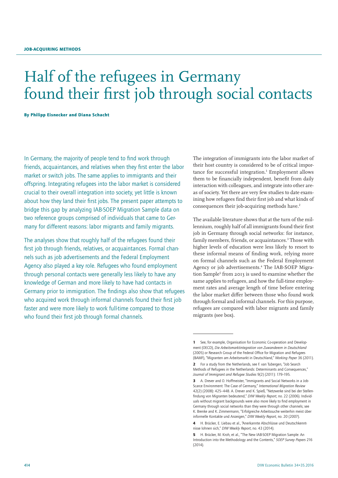## Half of the refugees in Germany found their first job through social contacts

By Philipp Eisnecker and Diana Schacht

In Germany, the majority of people tend to find work through friends, acquaintances, and relatives when they first enter the labor market or switch jobs. The same applies to immigrants and their offspring. Integrating refugees into the labor market is considered crucial to their overall integration into society, yet little is known about how they land their first jobs. The present paper attempts to bridge this gap by analyzing IAB-SOEP Migration Sample data on two reference groups comprised of individuals that came to Germany for different reasons: labor migrants and family migrants.

The analyses show that roughly half of the refugees found their first job through friends, relatives, or acquaintances. Formal channels such as job advertisements and the Federal Employment Agency also played a key role. Refugees who found employment through personal contacts were generally less likely to have any knowledge of German and more likely to have had contacts in Germany prior to immigration. The findings also show that refugees who acquired work through informal channels found their first job faster and were more likely to work full-time compared to those who found their first job through formal channels.

The integration of immigrants into the labor market of their host country is considered to be of critical importance for successful integration.<sup>1</sup> Employment allows them to be financially independent, benefit from daily interaction with colleagues, and integrate into other areas of society. Yet there are very few studies to date examining how refugees find their first job and what kinds of consequences their job-acquiring methods have.<sup>2</sup>

The available literature shows that at the turn of the millennium, roughly half of all immigrants found their first job in Germany through social networks: for instance, family members, friends, or acquaintances.<sup>3</sup> Those with higher levels of education were less likely to resort to these informal means of finding work, relying more on formal channels such as the Federal Employment Agency or job advertisements.<sup>4</sup> The IAB-SOEP Migration Sample<sup>5</sup> from 2013 is used to examine whether the same applies to refugees, and how the full-time employment rates and average length of time before entering the labor market differ between those who found work through formal and informal channels. For this purpose, refugees are compared with labor migrants and family migrants (see box).

<sup>1</sup> See, for example, Organisation for Economic Co-operation and Development (OECD), *Die Arbeitsmarktintegration von Zuwanderern in Deutschland* (2005) or Research Group of the Federal Office for Migration and Refugees (BAMF), "Migranten am Arbeitsmarkt in Deutschland," *Working Paper* 36 (2011).

<sup>2</sup> For a study from the Netherlands, see F. van Tubergen, "Job Search Methods of Refugees in the Netherlands: Determinants and Consequences," *Journal of Immigrant and Refugee Studies* 9(2) (2011): 179–195.

<sup>3</sup> A. Drever and O. Hoffmeister, "Immigrants and Social Networks in a Job-Scarce Environment: The Case of Germany," *International Migration Review* 42(2) (2008): 425–448. A. Drever and K. Spieß, "Netzwerke sind bei der Stellenfindung von Migranten bedeutend," *DIW Weekly Report*, no. 22 (2006). Individuals without migrant backgrounds were also more likely to find employment in Germany through social networks than they were through other channels; see K. Brenke and K. Zimmermann, "Erfolgreiche Arbeitssuche weiterhin meist über informelle Kontakte und Anzeigen," *DIW Weekly Report*, no. 20 (2007).

<sup>4</sup> H. Brücker, E. Liebau et al., "Anerkannte Abschlüsse und Deutschkenntnisse lohnen sich," *DIW Weekly Report*, no. 43 (2014).

<sup>5</sup> H. Brücker, M. Kroh, et al., "The New IAB-SOEP Migration Sample: An Introduction into the Methodology and the Contents," *SOEP Survey Papers* 216 (2014).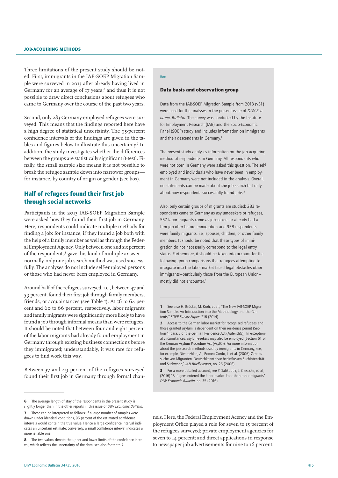Three limitations of the present study should be noted. First, immigrants in the IAB-SOEP Migration Sample were surveyed in 2013 after already having lived in Germany for an average of 17 years,<sup>6</sup> and thus it is not possible to draw direct conclusions about refugees who came to Germany over the course of the past two years.

Second, only 283 Germany-employed refugees were surveyed. This means that the findings reported here have a high degree of statistical uncertainty. The 95-percent confidence intervals of the findings are given in the tables and figures below to illustrate this uncertainty.<sup>7</sup> In addition, the study investigates whether the differences between the groups are statistically significant (t-test). Finally, the small sample size means it is not possible to break the refugee sample down into narrower groups for instance, by country of origin or gender (see box).

## Half of refugees found their first job through social networks

Participants in the 2013 IAB-SOEP Migration Sample were asked how they found their first job in Germany. Here, respondents could indicate multiple methods for finding a job: for instance, if they found a job both with the help of a family member as well as through the Federal Employment Agency. Only between one and six percent of the respondents<sup>8</sup> gave this kind of multiple answer normally, only one job-search method was used successfully. The analyses do not include self-employed persons or those who had never been employed in Germany.

Around half of the refugees surveyed, i.e., between 47 and 59 percent, found their first job through family members, friends, or acquaintances (see Table 1). At 56 to 64 percent and 60 to 66 percent, respectively, labor migrants and family migrants were significantly more likely to have found a job through informal means than were refugees. It should be noted that between four and eight percent of the labor migrants had already found employment in Germany through existing business connections before they immigrated; understandably, it was rare for refugees to find work this way.

Between 37 and 49 percent of the refugees surveyed found their first job in Germany through formal chan-

#### Box

#### Data basis and observation group

Data from the IAB-SOEP Migration Sample from 2013 (v31) were used for the analyses in the present issue of *DIW Economic Bulletin*. The survey was conducted by the Institute for Employment Research (IAB) and the Socio-Economic Panel (SOEP) study and includes information on immigrants and their descendants in Germany.<sup>1</sup>

The present study analyses information on the job acquiring method of respondents in Germany. All respondents who were not born in Germany were asked this question. The selfemployed and individuals who have never been in employment in Germany were not included in the analysis. Overall, no statements can be made about the job search but only about how respondents successfully found jobs.<sup>2</sup>

Also, only certain groups of migrants are studied: 283 respondents came to Germany as asylum-seekers or refugees, 557 labor migrants came as jobseekers or already had a firm job offer before immigration and 958 respondents were family migrants, i.e., spouses, children, or other family members. It should be noted that these types of immigration do not necessarily correspond to the legal entry status. Furthermore, it should be taken into account for the following group comparisons that refugees attempting to integrate into the labor market faced legal obstacles other immigrants—particularly those from the European Union mostly did not encounter.<sup>3</sup>

nels. Here, the Federal Employment Acency and the Employment Office played a role for seven to 15 percent of the refugees surveyed; private employment agencies for seven to 14 percent; and direct applications in response to newspaper job advertisements for nine to 16 percent.

The average length of stay of the respondents in the present study is slightly longer than in the other reports in this issue of *DIW Economic Bulletin*.

<sup>7</sup> These can be interpreted as follows: if a large number of samples were drawn under identical conditions, 95 percent of the estimated confidence intervals would contain the true value. Hence a large confidence interval indicates an uncertain estimate; conversely, a small confidence interval indicates a more reliable one.

The two values denote the upper and lower limits of the confidence interval, which reflects the uncertainty of the data; see also footnote 7.

<sup>1</sup> See also H. Brücker, M. Kroh, et al., "The New IAB-SOEP Migration Sample: An Introduction into the Methodology and the Contents," *SOEP Survey Papers* 216 (2014).

<sup>2</sup> Access to the German labor market for recognized refugees and those granted asylum is dependent on their residence permit (Section4, para.3 of the German Residence Act (AufenthG)). In exceptional circumstances, asylum-seekers may also be employed (Section 61 of the German Asylum Procedure Act (AsylG)). For more information about the job search methods used by immigrants in Germany, see, for example, Nivorozhkin, A., Romeu Gordo, L. et al. (2006) "Arbeitssuche von Migranten. Deutschkenntnisse beeinflussen Suchintensität und Suchwege," *IAB Briefly report*, no. 25 (2006).

<sup>3</sup> For a more detailed account, see Z. Salikutluk, J. Giesecke, et al., (2016) "Refugees entered the labor market later than other migrants" *DIW Economic Bulletin*, no. 35 (2016).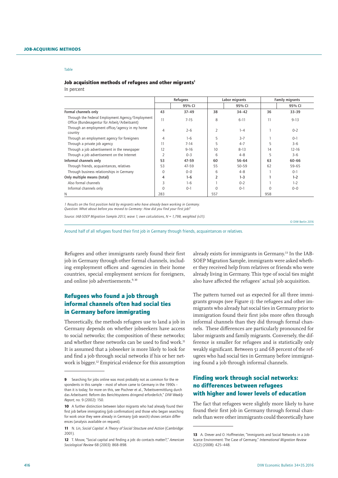## Job acquisition methods of refugees and other migrants<sup>1</sup>

In percent

|                                                                                                  |          | Refugees  |                | Labor migrants |          | <b>Family migrants</b> |
|--------------------------------------------------------------------------------------------------|----------|-----------|----------------|----------------|----------|------------------------|
|                                                                                                  |          | 95% CI    |                | 95% CI         |          | 95% CI                 |
| Formal channels only                                                                             | 43       | $37 - 49$ | 38             | $34 - 42$      | 36       | $33 - 39$              |
| Through the Federal Employment Agency/Employment<br>Office (Bundesagentur für Arbeit/Arbeitsamt) | 11       | $7 - 15$  | 8              | $6 - 11$       | 11       | $9 - 13$               |
| Through an employment office/agency in my home<br>country                                        | 4        | $2 - 6$   | $\overline{2}$ | $1 - 4$        |          | $0 - 2$                |
| Through an employment agency for foreigners                                                      | 4        | $1 - 6$   | 5              | $3 - 7$        |          | $O-1$                  |
| Through a private job agency                                                                     | 11       | $7 - 14$  | 5              | $4 - 7$        | 5        | $3 - 6$                |
| Through a job advertisement in the newspaper                                                     | 12       | $9 - 16$  | 10             | $8 - 13$       | 14       | $12 - 16$              |
| Through a job advertisement on the Internet                                                      |          | $O - 3$   | 6              | $4 - 8$        | 5        | $3 - 6$                |
| Informal channels only                                                                           | 53       | $47 - 59$ | 60             | $56 - 64$      | 63       | 60-66                  |
| Through friends, acquaintances, relatives                                                        | 53       | $47 - 59$ | 55             | $50 - 59$      | 62       | 59-65                  |
| Through business relationships in Germany                                                        | $\Omega$ | $0 - 0$   | 6              | $4 - 8$        |          | $0 - 1$                |
| Only multiple means (total)                                                                      | 4        | $1 - 6$   | $\overline{2}$ | $1 - 3$        |          | $1 - 2$                |
| Also formal channels                                                                             | 3        | $1 - 6$   |                | $0 - 2$        |          | $1 - 2$                |
| Informal channels only                                                                           | $\Omega$ | $0 - 1$   | $\Omega$       | $0 - 1$        | $\Omega$ | $0 - 0$                |
| N                                                                                                | 283      |           | 557            |                | 958      |                        |

*1 Results on the first position held by migrants who have already been working in Germany.* 

*Question: What about before you moved to Germany: How did you find your first job?*

*Source: IAB-SOEP Migration Sample 2013, wave 1; own calculations, N = 1,798, weighted (v31).*

© DIW Berlin 2016

Around half of all refugees found their first job in Germany through friends, acquaintances or relatives.

Refugees and other immigrants rarely found their first job in Germany through other formal channels, including employment offices and -agencies in their home countries, special employment services for foreigners, and online job advertisements.<sup>9, 10</sup>

## Refugees who found a job through informal channels often had social ties in Germany before immigrating

Theoretically, the methods refugees use to land a job in Germany depends on whether jobseekers have access to social networks; the composition of these networks; and whether these networks can be used to find work.<sup>11</sup> It is assumed that a jobseeker is more likely to look for and find a job through social networks if his or her network is bigger.12 Empirical evidence for this assumption

already exists for immigrants in Germany.13 In the IAB-SOEP Migration Sample, immigrants were asked whether they received help from relatives or friends who were already living in Germany. This type of social ties might also have affected the refugees' actual job acquisition.

The pattern turned out as expected for all three immigrants groups (see Figure 1): the refugees and other immigrants who already hat social ties in Germany prior to immigration found their first jobs more often through informal channels than they did through formal channels. These differences are particularly pronounced for labor migrants and family migrants. Conversely, the difference is smaller for refugees and is statistically only weakly significant. Between 51 and 68 percent of the refugees who had social ties in Germany before immigrating found a job through informal channels.

## Finding work through social networks: no differences between refugees with higher and lower levels of education

The fact that refugees were slightly more likely to have found their first job in Germany through formal channels than were other immigrants could theoretically have

<sup>9</sup> Searching for jobs online was most probably not as common for the respondents in this sample – most of whom came to Germany in the 1990s – than it is today; for more on this, see Pischner et al., "Arbeitsvermittlung durch das Arbeitsamt: Reform des Berichtsystems dringend erforderlich," *DIW Weekly Report*, no. 9 (2002): 150.

<sup>10</sup> A further distinction between labor migrants who had already found their first job before immigrating (job confirmation) and those who began searching for work once they were already in Germany (job search) shows certain differences (analysis available on request).

<sup>11</sup> N. Lin, *Social Capital: A Theory of Social Structure and Action* (Cambridge: 2001).

<sup>12</sup> T. Mouw, "Social capital and finding a job: do contacts matter?," *American Sociological Review* 68 (2003): 868–898.

<sup>13</sup> A. Drever and O. Hoffmeister, "Immigrants and Social Networks in a Job-Scarce Environment: The Case of Germany," *International Migration Review* 42(2) (2008): 425–448.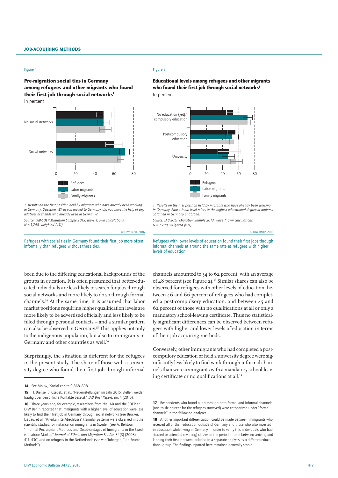#### Figure 1

### Pre-migration social ties in Germany among refugees and other migrants who found their first job through social networks<sup>1</sup> In percent



*1 Results on the first position held by migrants who have already been working in Germany. Question: When you moved to Germany, did you have the help of any relatives or friends who already lived in Germany?*

*Source: IAB-SOEP Migration Sample 2013, wave 1; own calculations, N = 1,798, weighted (v31).*

© DIW Berlin 2016

Refugees with social ties in Germany found their first job more often informally than refugees without these ties.

been due to the differing educational backgrounds of the groups in question. It is often presumed that better-educated individuals are less likely to search for jobs through social networks and more likely to do so through formal channels.14 At the same time, it is assumed that labor market positions requiring higher qualification levels are more likely to be advertised officially and less likely to be filled through personal contacts – and a similar pattern can also be observed in Germany.15 This applies not only to the indigenous population, but also to immigrants in Germany and other countries as well.16

Surprisingly, the situation is different for the refugees in the present study. The share of those with a university degree who found their first job through informal

#### Figure 2

Educational levels among refugees and other migrants who found their first job through social networks<sup>1</sup> In percent



*1 Results on the first position held by migrants who have already been working in Germany. Educational level refers to the highest educational degree or diploma obtained in Germany or abroad.*

*Source: IAB-SOEP Migration Sample 2013, wave 1; own calculations, N = 1,798, weighted (v31).*

© DIW Berlin 2016



channels amounted to 34 to 62 percent, with an average of 48 percent (see Figure 2).<sup>17</sup> Similar shares can also be observed for refugees with other levels of education: between 46 and 66 percent of refugees who had completed a post-compulsory education, and between 45 and 62 percent of those with no qualifications at all or only a mandatory school-leaving certificate. Thus no statistically significant differences can be observed between refugees with higher and lower levels of education in terms of their job acquiring methods.

Conversely, other immigrants who had completed a postcompulory education or held a university degree were significantly less likely to find work through informal channels than were immigrants with a mandatory school-leaving certificate or no qualifications at all.<sup>18</sup>

<sup>14</sup> See Mouw, "Social capital:" 868-898.

<sup>15</sup> H. Brenzel, J. Czepek, et al., "Neueinstellungen im Jahr 2015. Stellen werden häufig über persönliche Kontakte besetzt," *IAB Brief Report,* no. 4 (2016).

<sup>16</sup> Three years ago, for example, researchers from the IAB and the SOEP at DIW Berlin reported that immigrants with a higher level of education were less likely to find their first job in Germany through social networks (see Brücker, Liebau, et al., "Anerkannte Abschlüsse"). Similar patterns were observed in other scientific studies: for instance, on immigrants in Sweden (see A. Behtoui, "Informal Recruitment Methods and Disadvantages of Immigrants in the Swedish Labour Market," *Journal of Ethnic and Migration Studies* 34(3) (2008): 411–430) and on refugees in the Netherlands (see van Tubergen, "Job Search Methods").

<sup>17</sup> Respondents who found a job through both formal and informal channels (one to six percent for the refugees surveyed) were categorized under "formal channels" in the following analyses.

<sup>18</sup> Another important differentiation could be made between immigrants who received all of their education outside of Germany and those who also invested in education while living in Germany. In order to verify this, individuals who had studied or attended (evening) classes in the period of time between arriving and landing their first job were included in a separate analysis as a different educational group. The findings reported here remained generally stable.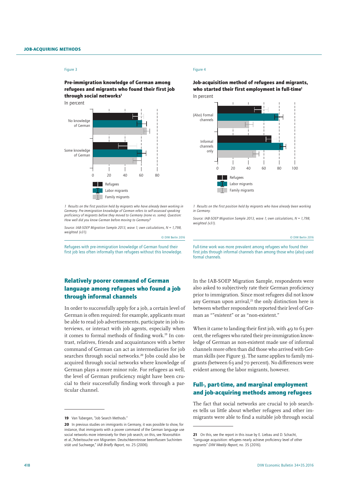#### Figure 3

Pre-immigration knowledge of German among refugees and migrants who found their first job through social networks<sup>1</sup>

In percent



*1 Results on the first position held by migrants who have already been working in Germany. Pre-immigration knowledge of German refers to self-assessed speaking proficiency of migrants before they moved to Germany (none vs. some). Question: How well did you know German before moving to Germany?*

*Source: IAB-SOEP Migration Sample 2013, wave 1; own calculations, N = 1,798, weighted (v31).*

© DIW Berlin 2016

Refugees with pre-immigration knowledge of German found their first job less often informally than refugees without this knowledge.

## Relatively poorer command of German language among refugees who found a job through informal channels

In order to successfully apply for a job, a certain level of German is often required: for example, applicants must be able to read job advertisements, participate in job interviews, or interact with job agents, especially when it comes to formal methods of finding work.<sup>19</sup> In contrast, relatives, friends and acquaintances with a better command of German can act as intermediaries for job searches through social networks.<sup>20</sup> Jobs could also be acquired through social networks where knowledge of German plays a more minor role. For refugees as well, the level of German proficiency might have been crucial to their successfully finding work through a particular channel.

#### Figure 4

Job-acquisition method of refugees and migrants, who started their first employment in full-time<sup>1</sup> In percent



*1 Results on the first position held by migrants who have already been working in Germany.*

*Source: IAB-SOEP Migration Sample 2013, wave 1; own calculations, N = 1,798, weighted (v31).*

© DIW Berlin 2016

Full-time work was more prevalent among refugees who found their first jobs through informal channels than among those who (also) used formal channels.

In the IAB-SOEP Migration Sample, respondents were also asked to subjectively rate their German proficiency prior to immigration. Since most refugees did not know any German upon arrival, $21$  the only distinction here is between whether respondents reported their level of German as ""existent" or as "non-existent."

When it came to landing their first job, with  $49$  to 63 percent, the refugees who rated their pre-immigration knowledge of German as non-existent made use of informal channels more often than did those who arrived with German skills (see Figure 3). The same applies to family migrants (between 63 and 70 percent). No differences were evident among the labor migrants, however.

## Full-, part-time, and marginal employment and job-acquiring methods among refugees

The fact that social networks are crucial to job searches tells us little about whether refugees and other immigrants were able to find a suitable job through social

<sup>19</sup> Van Tubergen, "Job Search Methods"

<sup>20</sup> In previous studies on immigrants in Germany, it was possible to show, for instance, that immigrants with a poorer command of the German language use social networks more intensively for their job search; on this, see Nivorozhkin et al.,"Arbeitssuche von Migranten. Deutschkenntnisse beeinflussen Suchintensität und Suchwege," *IAB Briefly Report,* no. 25 (2006).

<sup>21</sup> On this, see the report in this issue by E. Liebau and D. Schacht, "Language acquisition: refugees nearly achieve proficiency level of other

migrants" *DIW Weekly Report*, no. 35 (2016).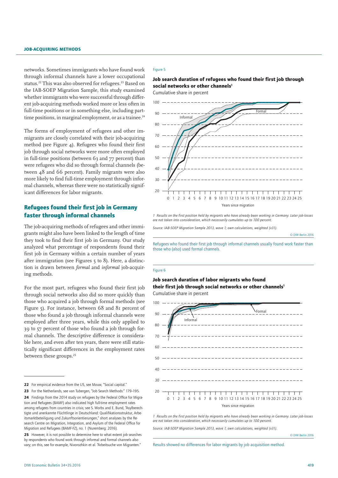networks. Sometimes immigrants who have found work through informal channels have a lower occupational status.22 This was also observed for refugees.23 Based on the IAB-SOEP Migration Sample, this study examined whether immigrants who were successful through different job-acquiring methods worked more or less often in full-time positions or in something else, including parttime positions, in marginal employment, or as a trainee.<sup>24</sup>

The forms of employment of refugees and other immigrants are closely correlated with their job-acquiring method (see Figure 4). Refugees who found their first job through social networks were more often employed in full-time positions (between 63 and 77 percent) than were refugees who did so through formal channels (between 48 and 66 percent). Family migrants were also more likely to find full-time employment through informal channels, whereas there were no statistically significant differences for labor migrants.

## Refugees found their first job in Germany faster through informal channels

The job-acquiring methods of refugees and other immigrants might also have been linked to the length of time they took to find their first job in Germany. Our study analyzed what percentage of respondents found their first job in Germany within a certain number of years after immigration (see Figures 5 to 8). Here, a distinction is drawn between *formal* and *informal* job-acquiring methods.

For the most part, refugees who found their first job through social networks also did so more quickly than those who acquired a job through formal methods (see Figure 5). For instance, between 68 and 81 percent of those who found a job through informal channels were employed after three years, while this only applied to 39 to 57 percent of those who found a job through formal channels. The descriptive difference is considerable here, and even after ten years, there were still statistically significant differences in the employment rates between these groups.<sup>25</sup>

- 22 For empirical evidence from the US, see Mouw, "Social capital."
- 23 For the Netherlands, see van Tubergen, "Job Search Methods:" 179-195.

#### Figure 5

Job search duration of refugees who found their first job through social networks or other channels<sup>1</sup>

Cumulative share in percent



*1 Results on the first position held by migrants who have already been working in Germany. Later job-losses are not taken into consideration, which necessarily cumulates up to 100 percent.*

*Source: IAB-SOEP Migration Sample 2013, wave 1; own calculations, weighted (v31).*

© DIW Berlin 2016

Refugees who found their first job through informal channels usually found work faster than those who (also) used formal channels.

#### Figure 6

#### Job search duration of labor migrants who found their first job through social networks or other channels<sup>1</sup> Cumulative share in percent



*1 Results on the first position held by migrants who have already been working in Germany. Later job-losses are not taken into consideration, which necessarily cumulates up to 100 percent.*

*Source: IAB-SOEP Migration Sample 2013, wave 1; own calculations, weighted (v31).*

© DIW Berlin 2016

Results showed no differences for labor migrants by job acquisition method.

<sup>24</sup> Findings from the 2014 study on refugees by the Federal Office for Migration and Refugees (BAMF) also indicated high full-time employment rates among refugees from countries in crisis; see S. Worbs and E. Bund, "Asylberechtigte und anerkannte Flüchtlinge in Deutschland: Qualifikationsstruktur, Arbeitsmarktbeteiligung und Zukunftsorientierungen," short analyses by the Research Centre on Migration, Integration, and Asylum of the Federal Office for Migration and Refugees (BAMF-FZ), no. 1 (Nuremberg: 2016).

<sup>25</sup> However, it is not possible to determine here to what extent job searches by respondents who found work through informal and formal channels also vary; on this, see for example, Nivorozhkin et al. "Arbeitsuche von Migranten."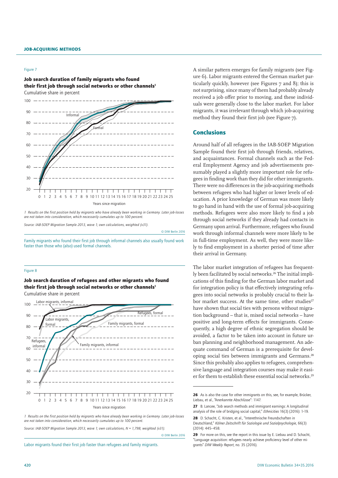#### Figure 7

Job search duration of family migrants who found their first job through social networks or other channels<sup>1</sup> Cumulative share in percent



*1 Results on the first position held by migrants who have already been working in Germany. Later job-losses are not taken into consideration, which necessarily cumulates up to 100 percent.*

*Source: IAB-SOEP Migration Sample 2013, wave 1; own calculations, weighted (v31).*

© DIW Berlin 2016

© DIW Berlin 2016

Family migrants who found their first job through informal channels also usually found work faster than those who (also) used formal channels.

#### Figure 8

Job search duration of refugees and other migrants who found their first job through social networks or other channels<sup>1</sup> Cumulative share in percent



*1 Results on the first position held by migrants who have already been working in Germany. Later job-losses are not taken into consideration, which necessarily cumulates up to 100 percent.*

*Source: IAB-SOEP Migration Sample 2013, wave 1; own calculations, N = 1,798, weighted (v31).*

Labor migrants found their first job faster than refugees and family migrants.

A similar pattern emerges for family migrants (see Figure 6). Labor migrants entered the German market particularly quickly, however (see Figures 7 and 8); this is not surprising, since many of them had probably already received a job offer prior to moving, and these individuals were generally close to the labor market. For labor migrants, it was irrelevant through which job-acquiring method they found their first job (see Figure 7).

#### **Conclusions**

Around half of all refugees in the IAB-SOEP Migration Sample found their first job through friends, relatives, and acquaintances. Formal channels such as the Federal Employment Agency and job advertisements presumably played a slightly more important role for refugees in finding work than they did for other immigrants. There were no differences in the job-acquiring methods between refugees who had higher or lower levels of education. A prior knowledge of German was more likely to go hand in hand with the use of formal job-acquiring methods. Refugees were also more likely to find a job through social networks if they already had contacts in Germany upon arrival. Furthermore, refugees who found work through informal channels were more likely to be in full-time employment. As well, they were more likely to find employment in a shorter period of time after their arrival in Germany.

The labor market integration of refugees has frequently been facilitated by social networks.<sup>26</sup> The initial implications of this finding for the German labor market and for integration policy is that effectively integrating refugees into social networks is probably crucial to their labor market success. At the same time, other studies<sup>27</sup> have shown that social ties with persons without migration background – that is, mixed social networks – have positive and long-term effects for immigrants. Consequently, a high degree of ethnic segregation should be avoided, a factor to be taken into account in future urban planning and neighborhood management. An adequate command of German is a prerequisite for developing social ties between immigrants and Germans.28 Since this probably also applies to refugees, comprehensive language and integration courses may make it easier for them to establish these essential social networks.29

<sup>26</sup> As is also the case for other immigrants on this, see, for example, Brücker, Liebau, et al., "Anerkannte Abschlüsse": 1147.

<sup>27</sup> B. Lancee, "Job search methods and immigrant earnings: A longitudinal analysis of the role of bridging social capital," *Ethnicities* 16(3) (2016): 1–19.

<sup>28</sup> D. Schacht, C. Kristen, et al., "Interethnische Freundschaften in Deutschland," *Kölner Zeitschrift für Soziologie und Sozialpsychologie*, 66(3) (2014): 445–458.

<sup>29</sup> For more on this, see the report in this issue by E. Liebau and D. Schacht, "Language acquisition: refugees nearly achieve proficiency level of other migrants" *DIW Weekly Report*, no. 35 (2016).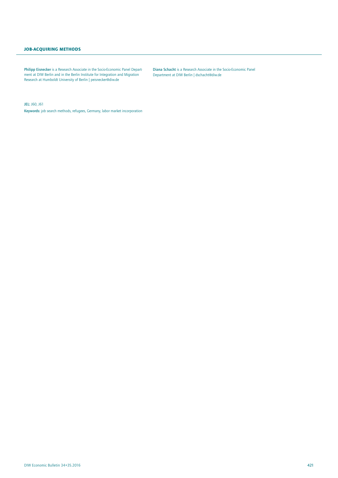#### Job-acquiring methods

Philipp Eisnecker is a Research Associate in the Socio-Economic Panel Department at DIW Berlin and in the Berlin Institute for Integration and Migration Research at Humboldt University of Berlin | peisnecker@diw.de

Diana Schacht is a Research Associate in the Socio-Economic Panel Department at DIW Berlin | dschacht@diw.de

JEL: J60, J61

Keywords: job search methods, refugees, Germany, labor market incorporation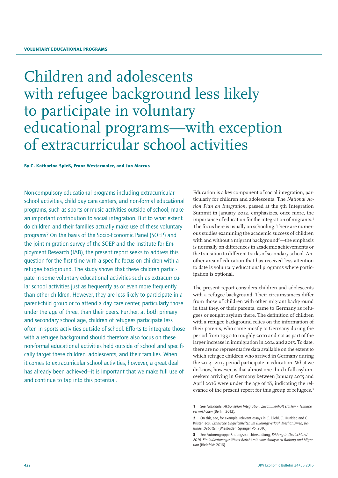## Children and adolescents with refugee background less likely to participate in voluntary educational programs—with exception of extracurricular school activities

By C. Katharina Spieß, Franz Westermaier, and Jan Marcus

Non-compulsory educational programs including extracurricular school activities, child day care centers, and non-formal educational programs, such as sports or music activities outside of school, make an important contribution to social integration. But to what extent do children and their families actually make use of these voluntary programs? On the basis of the Socio-Economic Panel (SOEP) and the joint migration survey of the SOEP and the Institute for Employment Research (IAB), the present report seeks to address this question for the first time with a specific focus on children with a refugee background. The study shows that these children participate in some voluntary educational activities such as extracurricular school activities just as frequently as or even more frequently than other children. However, they are less likely to participate in a parent-child group or to attend a day care center, particularly those under the age of three, than their peers. Further, at both primary and secondary school age, children of refugees participate less often in sports activities outside of school. Efforts to integrate those with a refugee background should therefore also focus on these non-formal educational activities held outside of school and specifically target these children, adolescents, and their families. When it comes to extracurricular school activities, however, a great deal has already been achieved—it is important that we make full use of and continue to tap into this potential.

Education is a key component of social integration, particularly for children and adolescents. The *National Ac*tion Plan on Integration, passed at the 5th Integration Summit in January 2012, emphasizes, once more, the importance of education for the integration of migrants.<sup>1</sup> The focus here is usually on schooling. There are numerous studies examining the academic success of children with and without a migrant background<sup>2</sup>—the emphasis is normally on differences in academic achievements or the transition to different tracks of secondary school. Another area of education that has received less attention to date is voluntary educational programs where participation is optional.

The present report considers children and adolescents with a refugee background. Their circumstances differ from those of children with other migrant background in that they, or their parents, came to Germany as refugees or sought asylum there. The definition of children with a refugee background relies on the information of their parents, who came mostly to Germany during the period from 1990 to roughly 2010 and not as part of the larger increase in immigration in 2014 and 2015. To date, there are no representative data available on the extent to which refugee children who arrived in Germany during the 2014–2015 period participate in education. What we do know, however, is that almost one-third of all asylumseekers arriving in Germany between January 2015 and April 2016 were under the age of 18, indicating the relevance of the present report for this group of refugees.<sup>3</sup>

<sup>1</sup> See *Nationaler Aktionsplan Integration. Zusammenhalt stärken – Teilhabe verwirklichen* (Berlin: 2012).

<sup>2</sup> On this, see, for example, relevant essays in C. Diehl, C. Hunkler, and C. Kristen eds., *Ethnische Ungleichheiten im Bildungsverlauf. Mechanismen, Befunde, Debatten* (Wiesbaden: Springer VS, 2016).

<sup>3</sup> See Autorengruppe Bildungsberichterstattung, *Bildung in Deutschland 2016. Ein indikatorengestützter Bericht mit einer Analyse zu Bildung und Migration* (Bielefeld: 2016).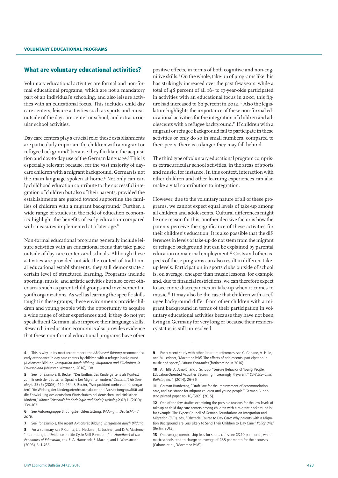#### What are voluntary educational activities?

Voluntary educational activities are formal and non-formal educational programs, which are not a mandatory part of an individual's schooling, and also leisure activities with an educational focus. This includes child day care centers, leisure activities such as sports and music outside of the day care center or school, and extracurricular school activities.

Day care centers play a crucial role: these establishments are particularly important for children with a migrant or refugee background4 because they facilitate the acquisition and day-to-day use of the German language.5 This is especially relevant because, for the vast majority of daycare children with a migrant background, German is not the main language spoken at home.6 Not only can early childhood education contribute to the successful integration of children but also of their parents, provided the establishments are geared toward supporting the families of children with a migrant background.7 Further, a wide range of studies in the field of education economics highlight the benefits of early education compared with measures implemented at a later age.<sup>8</sup>

Non-formal educational programs generally include leisure activities with an educational focus that take place outside of day care centers and schools. Although these activities are provided outside the context of traditional educational establishments, they still demonstrate a certain level of structured learning. Programs include sporting, music, and artistic activities but also cover other areas such as parent-child groups and involvement in youth organizations. As well as learning the specific skills taught in these groups, these environments provide children and young people with the opportunity to acquire a wide range of other experiences and, if they do not yet speak fluent German, also improve their language skills. Research in education economics also provides evidence that these non-formal educational programs have other

positive effects, in terms of both cognitive and non-cognitive skills.9 On the whole, take-up of programs like this has strikingly increased over the past few years: while a total of 48 percent of all 16- to 17-year-olds participated in activities with an educational focus in 2001, this figure had increased to 62 percent in 2012.<sup>10</sup> Also the legislature highlights the importance of these non-formal educational activities for the integration of children and adolescents with a refugee background.11 If children with a migrant or refugee background fail to participate in these activities or only do so in small numbers, compared to their peers, there is a danger they may fall behind.

The third type of voluntary educational program comprises extracurricular school activities, in the areas of sports and music, for instance. In this context, interaction with other children and other learning experiences can also make a vital contribution to integration.

However, due to the voluntary nature of all of these programs, we cannot expect equal levels of take-up among all children and adolescents. Cultural differences might be one reason for this; another decisive factor is how the parents perceive the significance of these activities for their children's education. It is also possible that the differences in levels of take-up do not stem from the migrant or refugee background but can be explained by parental education or maternal employment.12 Costs and other aspects of these programs can also result in different takeup levels. Participation in sports clubs outside of school is, on average, cheaper than music lessons, for example and, due to financial restrictions, we can therefore expect to see more discrepancies in take-up when it comes to music.13 It may also be the case that children with a refugee background differ from other children with a migrant background in terms of their participation in voluntary educational activities because they have not been living in Germany for very long or because their residency status is still unresolved.

<sup>4</sup> This is why, in its most recent report, the *Aktionsrat Bildung* recommended early attendance in day care centers by children with a refugee background (Aktionsrat Bildung, *Integration durch Bildung. Migranten und Flüchtlinge in Deutschland* (Münster: Waxmann, 2016), 138.

<sup>5</sup> See, for example, B. Becker, "Der Einfluss des Kindergartens als Kontext zum Erwerb der deutschen Sprache bei Migrantenkindern," *Zeitschrift für Soziologie* 35 (6) (2006): 449–464; B. Becker, "Wer profitiert mehr vom Kindergarten? Die Wirkung der Kindergartenbesuchsdauer und Ausstattungsqualität auf die Entwicklung des deutschen Wortschatzes bei deutschen und türkischen Kindern," *Kölner Zeitschrift für Soziologie und Sozialpsychologie* 62(1) (2010): 139–163.

<sup>6</sup> See Autorengruppe Bildungsberichterstattung, *Bildung in Deutschland 2016.*

<sup>7</sup> See, for example, the recent Aktionsrat Bildung, *Integration durch Bildung*.

<sup>8</sup> For a summary, see F. Cunha, J. J. Heckman, L. Lochner, and D. V. Masterov, "Interpreting the Evidence on Life Cycle Skill Formation," in *Handbook of the Economics of Education*, eds. E. A. Hanushek, S. Machin, and L. Woessmann (2006), 5: 1–765.

<sup>9</sup> For a recent study with other literature references, see C. Cabane, A. Hille, and M. Lechner, "Mozart or Pelé? The effects of adolescents' participation in music and sports," *Labour Economics* (forthcoming in 2016).

<sup>10</sup> A. Hille, A. Arnold, and J. Schupp, "Leisure Behavior of Young People: Education-Oriented Activities Becoming Increasingly Prevalent," *DIW Economic Bulletin,* no. 1 (2014): 26–36.

<sup>11</sup> German Bundestag, "Draft law for the improvement of accommodation, care, and assistance for migrant children and young people," German Bundestag printed paper no. 18/5921 (2015).

<sup>12</sup> One of the few studies examining the possible reasons for the low levels of take-up at child day care centers among children with a migrant background is, for example, The Expert Council of German Foundations on Integration and Migration (SVR), eds., "Obstacle Course to Day Care: Why parents with a Migration Background are Less Likely to Send Their Children to Day Care," *Policy Brief* (Berlin: 2013).

<sup>13</sup> On average, membership fees for sports clubs are  $\epsilon$ 3.10 per month, while music schools tend to charge an average of €38 per month for their courses (Cabane et al., "Mozart or Pelé").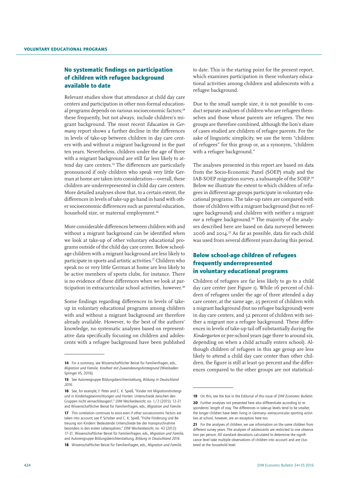## No systematic findings on participation of children with refugee background available to date

Relevant studies show that attendance at child day care centers and participation in other non-formal educational programs depends on various socioeconomic factors;<sup>14</sup> these frequently, but not always, include children's migrant background. The most recent *Education in Germany* report shows a further decline in the differences in levels of take-up between children in day care centers with and without a migrant background in the past ten years. Nevertheless, children under the age of three with a migrant background are still far less likely to attend day care centers.15 The differences are particularly pronounced if only children who speak very little German at home are taken into consideration—overall, these children are underrepresented in child day care centers. More detailed analyses show that, to a certain extent, the differences in levels of take-up go hand in hand with other socioeconomic differences such as parental education, household size, or maternal employment.<sup>16</sup>

More considerable differences between children with and without a migrant background can be identified when we look at take-up of other voluntary educational programs outside of the child day care center. Below schoolage children with a migrant background are less likely to participate in sports and artistic activities.<sup>17</sup> Children who speak no or very little German at home are less likely to be active members of sports clubs, for instance. There is no evidence of these differences when we look at participation in extracurricular school activities, however.<sup>18</sup>

Some findings regarding differences in levels of takeup in voluntary educational programs among children with and without a migrant background are therefore already available. However, to the best of the authors' knowledge, no systematic analyses based on representative data specifically focusing on children and adolescents with a refugee background have been published

to date. This is the starting point for the present report, which examines participation in these voluntary educational activities among children and adolescents with a refugee background.

Due to the small sample size, it is not possible to conduct separate analyses of children who are refugees themselves and those whose parents are refugees. The two groups are therefore combined, although the lion's share of cases studied are children of refugee parents. For the sake of linguistic simplicity, we use the term "children of refugees" for this group or, as a synonym, "children with a refugee background."

The analyses presented in this report are based on data from the Socio-Economic Panel (SOEP) study and the IAB-SOEP migration survey, a subsample of the SOEP.19 Below we illustrate the extent to which children of refugees in different age groups participate in voluntary educational programs. The take-up rates are compared with those of children with a migrant background (but no refugee background) and children with neither a migrant nor a refugee background.<sup>20</sup> The majority of the analyses described here are based on data surveyed between 2006 and 2014.21 As far as possible, data for each child was used from several different years during this period.

## Below school-age children of refugees frequently underrepresented in voluntary educational programs

Children of refugees are far less likely to go to a child day care center (see Figure 1). While 16 percent of children of refugees under the age of three attended a day care center, at the same age, 25 percent of children with a migrant background (but no refugee background) were in day care centers, and 32 percent of children with neither a migrant nor a refugee background. These differences in levels of take-up tail off substantially during the *Kindergarten* or pre-school years (age three to around six, depending on when a child actually enters school). Although children of refugees in this age group are less likely to attend a child day care center than other children, the figure is still at least 90 percent and the differences compared to the other groups are not statistical-

<sup>14</sup> For a summary, see Wissenschaftlicher Beirat für Familienfragen, eds., *Migration und Familie. Kindheit mit Zuwanderungshintergrund* (Wiesbaden: Springer VS, 2016).

<sup>15</sup> See Autorengruppe Bildungsberichterstattung, *Bildung in Deutschland 2016.*

<sup>16</sup> See, for example, F. Peter and C. K. Spieß, "Kinder mit Migrationshintergrund in Kindertageseinrichtungen und Horten: Unterschiede zwischen den Gruppen nicht vernachlässigen!," *DIW Wochenbericht*, no. 1/2 (2015): 12–21 and Wissenschaftlicher Beirat für Familienfragen, eds., *Migration und Familie*.

<sup>17</sup> This correlation continues to exist even if other socioeconomic factors are taken into account; see P. Schober and C. K. Spieß, "Frühe Förderung und Betreuung von Kindern: Bedeutende Unterschiede bei der Inanspruchnahme besonders in den ersten Lebensjahren," *DIW Wochenbericht*, no. 43 (2012): 17–31; Wissenschaftlicher Beirat für Familienfragen, eds., *Migration und Familie*, and Autorengruppe Bildungsberichterstattung, *Bildung in Deutschland 2016*.

<sup>18</sup> Wissenschaftlicher Beirat für Familienfragen, eds., *Migration und Familie*.

<sup>19</sup> On this, see the box in the Editorial of this issue of *DIW Economic Bulletin*. 20 Further analyses not presented here also differentiate according to respondents' length of stay. The differences in take-up levels tend to be smaller, the longer children have been living in Germany—extracurricular sporting activities at school, however, are an exception here too.

<sup>21</sup> For the analyses of children, we use information on the same children from different survey years. The analyses of adolescents are restricted to one observation per person. All standard deviations calculated to determine the significance level take multiple observations of children into account and are clustered at the household level.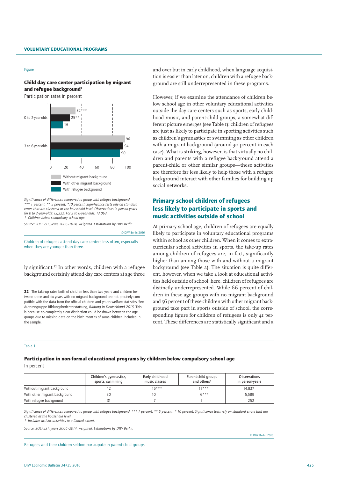#### Figure

Child day care center participation by migrant and refugee background<sup>1</sup>

Participation rates in percent



*Significance of differences compared to group with refugee background: \*\*\* 1 percent, \*\* 5 percent, \*10 percent. Significance tests rely on standard errors that are clustered at the household level. Observations in person-years for 0 to 2-year-olds: 12,222. For 3 to 6-year-olds: 13,063. 1 Children below compulsory school age.*

*Source: SOEP.v31, years 2006–2014, weighted. Estimations by DIW Berlin.*

© DIW Berlin 2016

Children of refugees attend day care centers less often, especially when they are younger than three.

ly significant.<sup>22</sup> In other words, children with a refugee background certainly attend day care centers at age three and over but in early childhood, when language acquisition is easier than later on, children with a refugee background are still underrepresented in these programs.

However, if we examine the attendance of children below school age in other voluntary educational activities outside the day care centers such as sports, early childhood music, and parent-child groups, a somewhat different picture emerges (see Table 1): children of refugees are just as likely to participate in sporting activities such as children's gymnastics or swimming as other children with a migrant background (around 30 percent in each case). What is striking, however, is that virtually no children and parents with a refugee background attend a parent-child or other similar groups—these activities are therefore far less likely to help those with a refugee background interact with other families for building up social networks.

## Primary school children of refugees less likely to participate in sports and music activities outside of school

At primary school age, children of refugees are equally likely to participate in voluntary educational programs within school as other children. When it comes to extracurricular school activities in sports, the take-up rates among children of refugees are, in fact, significantly higher than among those with and without a migrant background (see Table 2). The situation is quite different, however, when we take a look at educational activities held outside of school: here, children of refugees are distinctly underrepresented. While 66 percent of children in these age groups with no migrant background and 56 percent of these children with other migrant background take part in sports outside of school, the corresponding figure for children of refugees is only 41 percent. These differences are statistically significant and a

#### Table 1

Participation in non-formal educational programs by children below compulsory school age In percent

|                               | Children's gymnastics,<br>sports, swimming | Early childhood<br>music classes | Parent-child groups<br>and others <sup>1</sup> | <b>Observations</b><br>in person-years |
|-------------------------------|--------------------------------------------|----------------------------------|------------------------------------------------|----------------------------------------|
| Without migrant background    |                                            | $16***$                          | $11***$                                        | 14,837                                 |
| With other migrant background | 30                                         |                                  | $6***$                                         | 5.589                                  |
| With refugee background       |                                            |                                  |                                                | 252                                    |

Significance of differences compared to group with refugee background. \*\*\* 1 percent, \*\* 5 percent, \*10 percent, Significance tests rely on standard errors that are *clustered at the household level.*

*1 Includes artistic activities to a limited extent.*

*Source: SOEP.v31, years 2006–2014, weighted. Estimations by DIW Berlin.*

Refugees and their children seldom participate in parent-child groups.

<sup>22</sup> The take-up rates both of children less than two years and children between three and six years with no migrant background are not precisely compatible with the data from the official children and youth welfare statistics. See Autorengruppe Bildungsberichterstattung, *Bildung in Deutschland 2016.* This is because no completely clear distinction could be drawn between the age groups due to missing data on the birth months of some children included in the sample.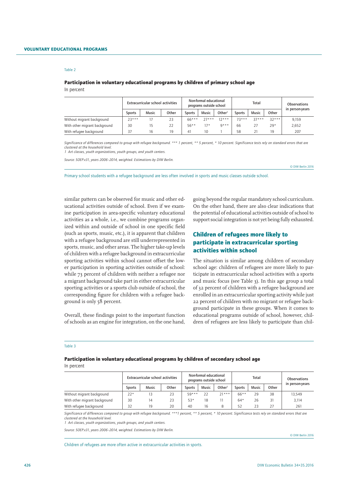#### Participation in voluntary educational programs by children of primary school age In percent

|                               | Extracurricular school activities |       |       |         | Non-formal educational<br>programs outside school |         |         | Total        | Observations |                 |
|-------------------------------|-----------------------------------|-------|-------|---------|---------------------------------------------------|---------|---------|--------------|--------------|-----------------|
|                               | Sports                            | Music | Other | Sports  | <b>Music</b>                                      | Other   | Sports  | <b>Music</b> | Other        | in person-years |
| Without migrant background    | $23***$                           |       | 23    | $66***$ | $77***$                                           | $12***$ | $73***$ | $37***$      | $32***$      | 9,159           |
| With other migrant background | 30                                | 15    | 22    | $56***$ | $17*$                                             | $0***$  | 66      |              | $29*$        | 2,652           |
| With refugee background       | 37                                | 16    | 19    | 41      | 10                                                |         | 58      |              | 19           | 207             |

*Significance of differences compared to group with refugee background. \*\*\* 1 percent, \*\* 5 percent, \* 10 percent. Significance tests rely on standard errors that are clustered at the household level.*

*1 Art classes, youth organizations, youth groups, and youth centers.*

*Source: SOEP.v31, years 2006–2014, weighted. Estimations by DIW Berlin.*

© DIW Berlin 2016

Primary school students with a refugee background are less often involved in sports and music classes outside school.

similar pattern can be observed for music and other educational activities outside of school. Even if we examine participation in area-specific voluntary educational activities as a whole, i.e., we combine programs organized within and outside of school in one specific field (such as sports, music, etc.), it is apparent that children with a refugee background are still underrepresented in sports, music, and other areas. The higher take-up levels of children with a refugee background in extracurricular sporting activities within school cannot offset the lower participation in sporting activities outside of school: while 73 percent of children with neither a refugee nor a migrant background take part in either extracurricular sporting activities or a sports club outside of school, the corresponding figure for children with a refugee background is only 58 percent.

Overall, these findings point to the important function of schools as an engine for integration, on the one hand,

going beyond the regular mandatory school curriculum. On the other hand, there are also clear indications that the potential of educational activities outside of school to support social integration is not yet being fully exhausted.

## Children of refugees more likely to participate in extracurricular sporting activities within school

The situation is similar among children of secondary school age: children of refugees are more likely to participate in extracurricular school activities with a sports and music focus (see Table 3). In this age group a total of 32 percent of children with a refugee background are enrolled in an extracurricular sporting activity while just 22 percent of children with no migrant or refugee background participate in these groups. When it comes to educational programs outside of school, however, children of refugees are less likely to participate than chil-

#### Table 3

#### Participation in voluntary educational programs by children of secondary school age In percent

|                               | Extracurricular school activities |              |       | Non-formal educational<br>programs outside school |              |                    | Total   |              |       | <b>Observations</b> |  |
|-------------------------------|-----------------------------------|--------------|-------|---------------------------------------------------|--------------|--------------------|---------|--------------|-------|---------------------|--|
|                               | Sports                            | <b>Music</b> | Other | <b>Sports</b>                                     | <b>Music</b> | Other <sup>1</sup> | Sports  | <b>Music</b> | Other | in person-years     |  |
| Without migrant background    | $22*$                             | 13           | 23    | $59***$                                           | 22           | $71***$            | $66***$ | 29           | 38    | 13.549              |  |
| With other migrant background | 30                                | 14           | 23    | $53*$                                             | 18           |                    | $64*$   | 26           | 31    | 3,114               |  |
| With refugee background       | 32                                | 19           | 20    | 40                                                | 16           | 8                  | 52      | 23           |       | 261                 |  |

*Significance of differences compared to group with refugee background. \*\*\*1 percent, \*\* 5 percent, \* 10 percent. Significance tests rely on standard errors that are clustered at the household level.*

*1 Art classes, youth organizations, youth groups, and youth centers.* 

*Source: SOEP.v31, years 2006–2014, weighted. Estimations by DIW Berlin.*

© DIW Berlin 2016

Children of refugees are more often active in extracurricular activities in sports.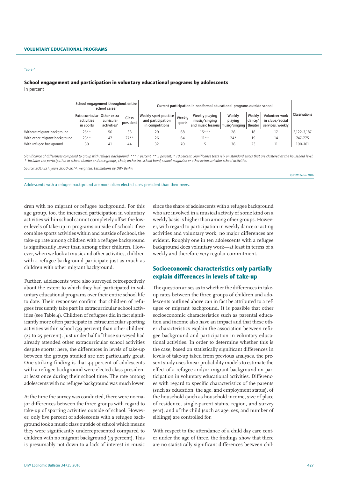### School engagement and participation in voluntary educational programs by adolescents In percent

|                               | School engagement throughout entire<br>school career      |                                       |                    |                                                               | Current participation in non-formal educational programs outside school |                                                                 |                   |                               |                                                       |              |  |  |
|-------------------------------|-----------------------------------------------------------|---------------------------------------|--------------------|---------------------------------------------------------------|-------------------------------------------------------------------------|-----------------------------------------------------------------|-------------------|-------------------------------|-------------------------------------------------------|--------------|--|--|
|                               | Extracurricular   Other extra-<br>activities<br>in sports | curricular<br>activities <sup>1</sup> | Class<br>president | Weekly sport practice<br>and participation<br>in competitions | Weekly<br>sports                                                        | Weekly playing<br>music/sinq<br>and music lessons music/singing | Weekly<br>playing | Weekly<br>dance/<br>theater . | Volunteer work<br>in clubs/social<br>services, weekly | Observations |  |  |
| Without migrant background    | $25**$                                                    | 50                                    | 33                 | 29                                                            | 68                                                                      | $15***$                                                         | 28                | 18                            |                                                       | 3,122-3,187  |  |  |
| With other migrant background | $23**$                                                    | 47                                    | $27**$             | 26                                                            | 64                                                                      | $11**$                                                          | $24*$             | 19                            | 14                                                    | 747-775      |  |  |
| With refugee background       | 39                                                        | 41                                    | 44                 | 32                                                            | 70                                                                      |                                                                 | 38                | 23                            |                                                       | 100-101      |  |  |

Significance of differences compared to group with refugee background. \*\*\* 1 percent, \*\* 5 percent, \*10 percent. Significance tests rely on standard errors that are clustered at the household level. *1 Includes the participation in school theater or dance groups, choir, orchestra, school band, school magazine or other extracurricular school activities.*

*Source: SOEP.v31, years 2000–2014, weighted. Estimations by DIW Berlin.*

© DIW Berlin 2016

Adolescents with a refugee background are more often elected class president than their peers.

dren with no migrant or refugee background. For this age group, too, the increased participation in voluntary activities within school cannot completely offset the lower levels of take-up in programs outside of school: if we combine sports activities within and outside of school, the take-up rate among children with a refugee background is significantly lower than among other children. However, when we look at music and other activities, children with a refugee background participate just as much as children with other migrant background.

Further, adolescents were also surveyed retrospectively about the extent to which they had participated in voluntary educational programs over their entire school life to date. Their responses confirm that children of refugees frequently take part in extracurricular school activities (see Table 4). Children of refugees did in fact significantly more often participate in extracurricular sporting activities within school (39 percent) than other children (23 to 25 percent). Just under half of those surveyed had already attended other extracurricular school activities despite sports; here, the differences in levels of take-up between the groups studied are not particularly great. One striking finding is that 44 percent of adolescents with a refugee background were elected class president at least once during their school time. The rate among adolescents with no refugee background was much lower.

At the time the survey was conducted, there were no major differences between the three groups with regard to take-up of sporting activities outside of school. However, only five percent of adolescents with a refugee background took a music class outside of school which means they were significantly underrepresented compared to children with no migrant background (15 percent). This is presumably not down to a lack of interest in music since the share of adolescents with a refugee background who are involved in a musical activity of some kind on a weekly basis is higher than among other groups. However, with regard to participation in weekly dance or acting activities and voluntary work, no major differences are evident. Roughly one in ten adolescents with a refugee background does voluntary work—at least in terms of a weekly and therefore very regular commitment.

## Socioeconomic characteristics only partially explain differences in levels of take-up

The question arises as to whether the differences in takeup rates between the three groups of children and adolescents outlined above can in fact be attributed to a refugee or migrant background. It is possible that other socioeconomic characteristics such as parental education and income also have an impact and that these other characteristics explain the association between refugee background and participation in voluntary educational activities. In order to determine whether this is the case, based on statistically significant differences in levels of take-up taken from previous analyses, the present study uses linear probability models to estimate the effect of a refugee and/or migrant background on participation in voluntary educational activities. Differences with regard to specific characteristics of the parents (such as education, the age, and employment status), of the household (such as household income, size of place of residence, single-parent status, region, and survey year), and of the child (such as age, sex, and number of siblings) are controlled for.

With respect to the attendance of a child day care center under the age of three, the findings show that there are no statistically significant differences between chil-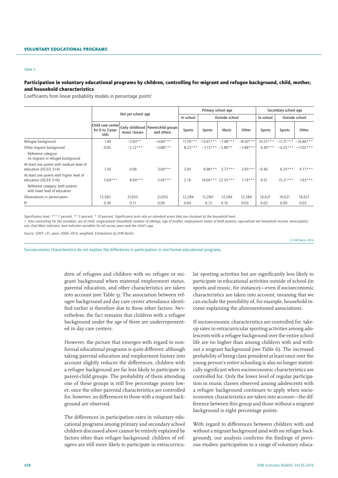#### Participation in voluntary educational programs by children, controlling for migrant and refugee background, child, mother, and household characteristics

Coefficients from linear probability models in percentage points<sup>1</sup>

|                                                                   |                                               |               |                                                       |               | Primary school age            |                   |            | Secondary school age |               |                       |
|-------------------------------------------------------------------|-----------------------------------------------|---------------|-------------------------------------------------------|---------------|-------------------------------|-------------------|------------|----------------------|---------------|-----------------------|
|                                                                   | Not yet school age                            |               |                                                       | In school     |                               | Outside school    |            | In school            |               | Outside school        |
|                                                                   | Child care center<br>for 0 to 2-year-<br>olds | music classes | Early childhood   Parent-child groups  <br>and others | <b>Sports</b> | <b>Sports</b>                 | Music             | Other      | <b>Sports</b>        | <b>Sports</b> | Other                 |
| Refugee background                                                | 1.40                                          | $-3.83**$     | $-4.84***$                                            |               | $11.78***$ -13.67*** -7.48*** |                   | $-8.50***$ | $10.25***$           |               | $-11.21***$ -16.86*** |
| Other migrant background                                          | 0.05                                          | $-2.12***$    | $-3.88***$                                            | $8.23***$     | $-7.13***$ $-2.80**$          |                   | $-3.88***$ | $6.40***$            |               | $-4.25*** -11.02***$  |
| Reference category:<br>no migrant or refugee background           |                                               |               |                                                       |               |                               |                   |            |                      |               |                       |
| At least one parent with medium level of<br>education (ISCED 3+4) | 1.50                                          | 0.96          | $3.00***$                                             | 2.04          | $9.98***$                     | $5.77***$         | $3.95***$  | $-0.46$              | $6.24***$     | $4.77***$             |
| At least one parent with higher level of<br>education (ISCED 5+6) | $5.69***$                                     | $8.04***$     | $5.45***$                                             | 2.18          |                               | 19.04*** 22.55*** | $7.19***$  | 0.57                 | $15.21***$    | $7.63***$             |
| Reference category: both parents<br>with lower level of education |                                               |               |                                                       |               |                               |                   |            |                      |               |                       |
| Observations in person-years                                      | 12,583                                        | 21,055        | 21,055                                                | 12,284        | 12,284                        | 12,284            | 12,284     | 16,621               | 16,621        | 16,621                |
| $R^2$                                                             | 0.36                                          | 0.11          | 0.09                                                  | 0.04          | 0.13                          | 0.16              | 0.03       | 0.02                 | 0.09          | 0.03                  |

*Significance level: \*\*\* 1 percent, \*\* 5 percent, \* 10 percent. Significance tests rely on standard errors that are clustered at the household level. 1 Also controlling for the variables: sex of child, single-parent household, number of siblings, age of mother, employment status of both parents, equivalised net household income, municipality size, East-West indicator, and indicator variables for all survey years and the child's age.*

*Source: SOEP. v31, years 2006–2014, weighted. Estimations by DIW Berlin.*

© DIW Berlin 2016

Socioeconomic characteristics do not explain the differences in participation in non-formal educational programs.

dren of refugees and children with no refugee or migrant background when maternal employment status, parental education, and other characteristics are taken into account (see Table 5). The association between refugee background and day care center attendance identified earlier is therefore due to these other factors. Nevertheless, the fact remains that children with a refugee background under the age of three are underrepresented in day care centers.

However, the picture that emerges with regard to nonformal educational programs is quite different: although taking parental education and employment history into account slightly reduces the differences, children with a refugee background are far less likely to participate in parent-child groups. The probability of them attending one of these groups is still five percentage points lower; once the other parental characteristics are controlled for, however, no differences to those with a migrant background are observed.

The differences in participation rates in voluntary educational programs among primary and secondary school children discussed above cannot be entirely explained by factors other than refugee background: children of refugees are still more likely to participate in extracurricu-

lar sporting activities but are significantly less likely to participate in educational activities outside of school (in sports and music, for instance)—even if socioeconomic characteristics are taken into account, meaning that we can exclude the possibility of, for example, household income explaining the aforementioned associations.

If socioeconomic characteristics are controlled for, takeup rates in extracurricular sporting activities among adolescents with a refugee background over the entire school life are no higher than among children with and without a migrant background (see Table 6). The increased probability of being class president at least once over the young person's entire schooling is also no longer statistically significant when socioeconomic characteristics are controlled for. Only the lower level of regular participation in music classes observed among adolescents with a refugee background continues to apply when socioeconomic characteristics are taken into account—the difference between this group and those without a migrant background is eight percentage points.

With regard to differences between children with and without a migrant background (and with no refugee background), our analysis confirms the findings of previous studies: participation in a range of voluntary educa-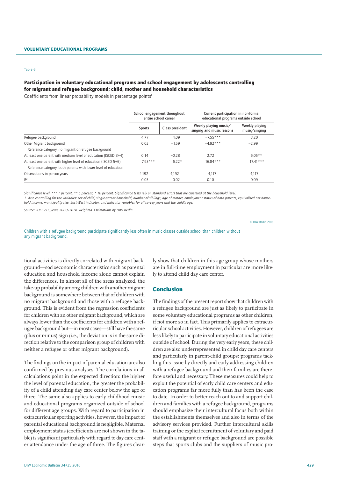## Participation in voluntary educational programs and school engagement by adolescents controlling for migrant and refugee background; child, mother and household characteristics

Coefficients from linear probability models in percentage points<sup>1</sup>

|                                                                | School engagement throughout<br>entire school career |                 | Current participation in non-formal<br>educational programs outside school |                                 |
|----------------------------------------------------------------|------------------------------------------------------|-----------------|----------------------------------------------------------------------------|---------------------------------|
|                                                                | Sports                                               | Class president | Weekly playing music/<br>singing and music lessons                         | Weekly playing<br>music/singing |
| Refugee background                                             | 4.77                                                 | 4.09            | $-7.55***$                                                                 | 3.20                            |
| Other Migrant background                                       | 0.03                                                 | $-1.59$         | $-4.92***$                                                                 | $-2.99$                         |
| Reference category: no migrant or refugee background           |                                                      |                 |                                                                            |                                 |
| At least one parent with medium level of education (ISCED 3+4) | 0.14                                                 | $-0.28$         | 2.72                                                                       | $6.05**$                        |
| At least one parent with higher level of education (ISCED 5+6) | $793***$                                             | $6.22*$         | $16.84***$                                                                 | $17.41***$                      |
| Reference category: both parents with lower level of education |                                                      |                 |                                                                            |                                 |
| Observations in person-years                                   | 4,192                                                | 4.192           | 4,117                                                                      | 4,117                           |
| $R^2$                                                          | 0.03                                                 | 0.02            | 0.10                                                                       | 0.09                            |

*Significance level: \*\*\* 1 percent, \*\* 5 percent, \* 10 percent. Significance tests rely on standard errors that are clustered at the household level. 1 Also controlling for the variables: sex of child, single-parent household, number of siblings, age of mother, employment status of both parents, equivalised net household income, municipality size, East-West indicator, and indicator variables for all survey years and the child's age.* 

*Source: SOEP.v31, years 2000–2014, weighted. Estimations by DIW Berlin.*

© DIW Berlin 2016

Children with a refugee background participate significantly less often in music classes outside school than children without any migrant background.

tional activities is directly correlated with migrant background—socioeconomic characteristics such as parental education and household income alone cannot explain the differences. In almost all of the areas analyzed, the take-up probability among children with another migrant background is somewhere between that of children with no migrant background and those with a refugee background. This is evident from the regression coefficients for children with an other migrant background, which are always lower than the coefficients for children with a refugee background but—in most cases—still have the same (plus or minus) sign (i.e., the deviation is in the same direction relative to the comparison group of children with neither a refugee or other migrant background).

The findings on the impact of parental education are also confirmed by previous analyses. The correlations in all calculations point in the expected direction: the higher the level of parental education, the greater the probability of a child attending day care center below the age of three. The same also applies to early childhood music and educational programs organized outside of school for different age groups. With regard to participation in extracurricular sporting activities, however, the impact of parental educational background is negligible. Maternal employment status (coefficients are not shown in the table) is significant particularly with regard to day care center attendance under the age of three. The figures clearly show that children in this age group whose mothers are in full-time employment in particular are more likely to attend child day care center.

#### Conclusion

The findings of the present report show that children with a refugee background are just as likely to participate in some voluntary educational programs as other children, if not more so in fact. This primarily applies to extracurricular school activities. However, children of refugees are less likely to participate in voluntary educational activities outside of school. During the very early years, these children are also underrepresented in child day care centers and particularly in parent-child groups: programs tackling this issue by directly and early addressing children with a refugee background and their families are therefore useful and necessary. These measures could help to exploit the potential of early child care centers and education programs far more fully than has been the case to date. In order to better reach out to and support children and families with a refugee background, programs should emphasize their intercultural focus both within the establishments themselves and also in terms of the advisory services provided. Further intercultural skills training or the explicit recruitment of voluntary and paid staff with a migrant or refugee background are possible steps that sports clubs and the suppliers of music pro